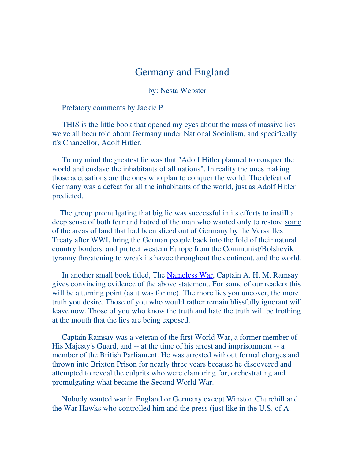# Germany and England

by: Nesta Webster

Prefatory comments by Jackie P.

 THIS is the little book that opened my eyes about the mass of massive lies we've all been told about Germany under National Socialism, and specifically it's Chancellor, Adolf Hitler.

 To my mind the greatest lie was that "Adolf Hitler planned to conquer the world and enslave the inhabitants of all nations". In reality the ones making those accusations are the ones who plan to conquer the world. The defeat of Germany was a defeat for all the inhabitants of the world, just as Adolf Hitler predicted.

 The group promulgating that big lie was successful in its efforts to instill a deep sense of both fear and hatred of the man who wanted only to restore some of the areas of land that had been sliced out of Germany by the Versailles Treaty after WWI, bring the German people back into the fold of their natural country borders, and protect western Europe from the Communist/Bolshevik tyranny threatening to wreak its havoc throughout the continent, and the world.

In another small book titled, The Nameless War, Captain A. H. M. Ramsay gives convincing evidence of the above statement. For some of our readers this will be a turning point (as it was for me). The more lies you uncover, the more truth you desire. Those of you who would rather remain blissfully ignorant will leave now. Those of you who know the truth and hate the truth will be frothing at the mouth that the lies are being exposed.

 Captain Ramsay was a veteran of the first World War, a former member of His Majesty's Guard, and -- at the time of his arrest and imprisonment -- a member of the British Parliament. He was arrested without formal charges and thrown into Brixton Prison for nearly three years because he discovered and attempted to reveal the culprits who were clamoring for, orchestrating and promulgating what became the Second World War.

 Nobody wanted war in England or Germany except Winston Churchill and the War Hawks who controlled him and the press (just like in the U.S. of A.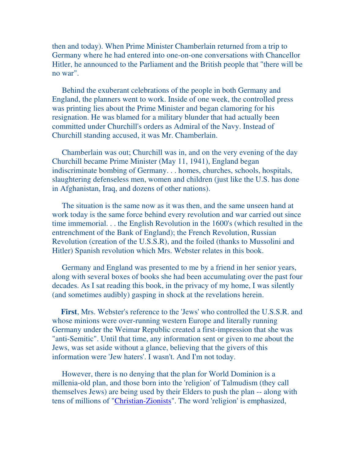then and today). When Prime Minister Chamberlain returned from a trip to Germany where he had entered into one-on-one conversations with Chancellor Hitler, he announced to the Parliament and the British people that "there will be no war".

 Behind the exuberant celebrations of the people in both Germany and England, the planners went to work. Inside of one week, the controlled press was printing lies about the Prime Minister and began clamoring for his resignation. He was blamed for a military blunder that had actually been committed under Churchill's orders as Admiral of the Navy. Instead of Churchill standing accused, it was Mr. Chamberlain.

 Chamberlain was out; Churchill was in, and on the very evening of the day Churchill became Prime Minister (May 11, 1941), England began indiscriminate bombing of Germany. . . homes, churches, schools, hospitals, slaughtering defenseless men, women and children (just like the U.S. has done in Afghanistan, Iraq, and dozens of other nations).

 The situation is the same now as it was then, and the same unseen hand at work today is the same force behind every revolution and war carried out since time immemorial. . . the English Revolution in the 1600's (which resulted in the entrenchment of the Bank of England); the French Revolution, Russian Revolution (creation of the U.S.S.R), and the foiled (thanks to Mussolini and Hitler) Spanish revolution which Mrs. Webster relates in this book.

 Germany and England was presented to me by a friend in her senior years, along with several boxes of books she had been accumulating over the past four decades. As I sat reading this book, in the privacy of my home, I was silently (and sometimes audibly) gasping in shock at the revelations herein.

 **First**, Mrs. Webster's reference to the 'Jews' who controlled the U.S.S.R. and whose minions were over-running western Europe and literally running Germany under the Weimar Republic created a first-impression that she was "anti-Semitic". Until that time, any information sent or given to me about the Jews, was set aside without a glance, believing that the givers of this information were 'Jew haters'. I wasn't. And I'm not today.

 However, there is no denying that the plan for World Dominion is a millenia-old plan, and those born into the 'religion' of Talmudism (they call themselves Jews) are being used by their Elders to push the plan -- along with tens of millions of "Christian-Zionists". The word 'religion' is emphasized,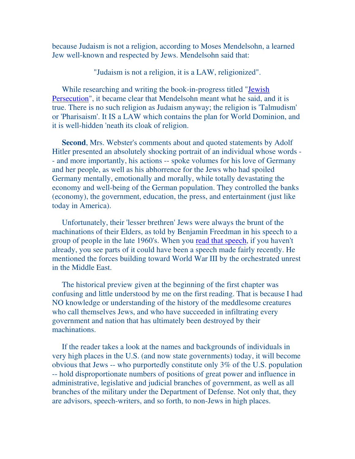because Judaism is not a religion, according to Moses Mendelsohn, a learned Jew well-known and respected by Jews. Mendelsohn said that:

"Judaism is not a religion, it is a LAW, religionized".

 While researching and writing the book-in-progress titled "Jewish Persecution", it became clear that Mendelsohn meant what he said, and it is true. There is no such religion as Judaism anyway; the religion is 'Talmudism' or 'Pharisaism'. It IS a LAW which contains the plan for World Dominion, and it is well-hidden 'neath its cloak of religion.

 **Second**, Mrs. Webster's comments about and quoted statements by Adolf Hitler presented an absolutely shocking portrait of an individual whose words - - and more importantly, his actions -- spoke volumes for his love of Germany and her people, as well as his abhorrence for the Jews who had spoiled Germany mentally, emotionally and morally, while totally devastating the economy and well-being of the German population. They controlled the banks (economy), the government, education, the press, and entertainment (just like today in America).

 Unfortunately, their 'lesser brethren' Jews were always the brunt of the machinations of their Elders, as told by Benjamin Freedman in his speech to a group of people in the late 1960's. When you read that speech, if you haven't already, you see parts of it could have been a speech made fairly recently. He mentioned the forces building toward World War III by the orchestrated unrest in the Middle East.

 The historical preview given at the beginning of the first chapter was confusing and little understood by me on the first reading. That is because I had NO knowledge or understanding of the history of the meddlesome creatures who call themselves Jews, and who have succeeded in infiltrating every government and nation that has ultimately been destroyed by their machinations.

 If the reader takes a look at the names and backgrounds of individuals in very high places in the U.S. (and now state governments) today, it will become obvious that Jews -- who purportedly constitute only 3% of the U.S. population -- hold disproportionate numbers of positions of great power and influence in administrative, legislative and judicial branches of government, as well as all branches of the military under the Department of Defense. Not only that, they are advisors, speech-writers, and so forth, to non-Jews in high places.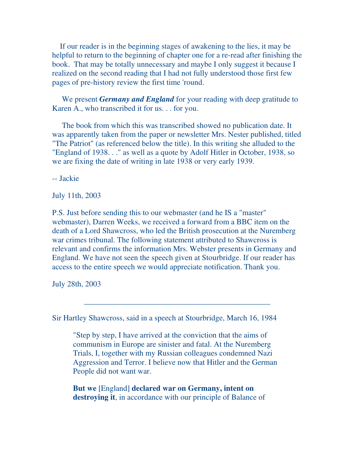If our reader is in the beginning stages of awakening to the lies, it may be helpful to return to the beginning of chapter one for a re-read after finishing the book. That may be totally unnecessary and maybe I only suggest it because I realized on the second reading that I had not fully understood those first few pages of pre-history review the first time 'round.

 We present *Germany and England* for your reading with deep gratitude to Karen A., who transcribed it for us. . . for you.

 The book from which this was transcribed showed no publication date. It was apparently taken from the paper or newsletter Mrs. Nester published, titled "The Patriot" (as referenced below the title). In this writing she alluded to the "England of 1938. . ." as well as a quote by Adolf Hitler in October, 1938, so we are fixing the date of writing in late 1938 or very early 1939.

-- Jackie

July 11th, 2003

P.S. Just before sending this to our webmaster (and he IS a "master" webmaster), Darren Weeks, we received a forward from a BBC item on the death of a Lord Shawcross, who led the British prosecution at the Nuremberg war crimes tribunal. The following statement attributed to Shawcross is relevant and confirms the information Mrs. Webster presents in Germany and England. We have not seen the speech given at Stourbridge. If our reader has access to the entire speech we would appreciate notification. Thank you.

July 28th, 2003

Sir Hartley Shawcross, said in a speech at Stourbridge, March 16, 1984

"Step by step, I have arrived at the conviction that the aims of communism in Europe are sinister and fatal. At the Nuremberg Trials, I, together with my Russian colleagues condemned Nazi Aggression and Terror. I believe now that Hitler and the German People did not want war.

\_\_\_\_\_\_\_\_\_\_\_\_\_\_\_\_\_\_\_\_\_\_\_\_\_\_\_\_\_\_\_\_\_\_\_\_\_\_\_\_\_\_\_\_\_\_\_

**But we** [England] **declared war on Germany, intent on destroying it**, in accordance with our principle of Balance of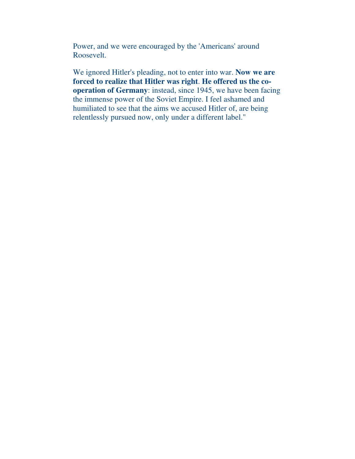Power, and we were encouraged by the 'Americans' around Roosevelt.

We ignored Hitler's pleading, not to enter into war. **Now we are forced to realize that Hitler was right**. **He offered us the cooperation of Germany**: instead, since 1945, we have been facing the immense power of the Soviet Empire. I feel ashamed and humiliated to see that the aims we accused Hitler of, are being relentlessly pursued now, only under a different label."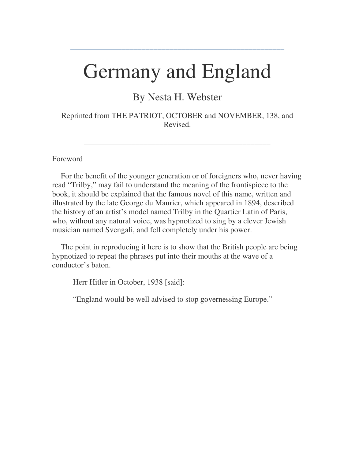# Germany and England

**\_\_\_\_\_\_\_\_\_\_\_\_\_\_\_\_\_\_\_\_\_\_\_\_\_\_\_\_\_\_\_\_\_\_\_\_\_\_\_\_\_\_\_\_\_\_\_\_\_\_\_\_\_\_**

By Nesta H. Webster

Reprinted from THE PATRIOT, OCTOBER and NOVEMBER, 138, and Revised.

\_\_\_\_\_\_\_\_\_\_\_\_\_\_\_\_\_\_\_\_\_\_\_\_\_\_\_\_\_\_\_\_\_\_\_\_\_\_\_\_\_\_\_\_\_\_\_

#### Foreword

 For the benefit of the younger generation or of foreigners who, never having read "Trilby," may fail to understand the meaning of the frontispiece to the book, it should be explained that the famous novel of this name, written and illustrated by the late George du Maurier, which appeared in 1894, described the history of an artist's model named Trilby in the Quartier Latin of Paris, who, without any natural voice, was hypnotized to sing by a clever Jewish musician named Svengali, and fell completely under his power.

 The point in reproducing it here is to show that the British people are being hypnotized to repeat the phrases put into their mouths at the wave of a conductor's baton.

Herr Hitler in October, 1938 [said]:

"England would be well advised to stop governessing Europe."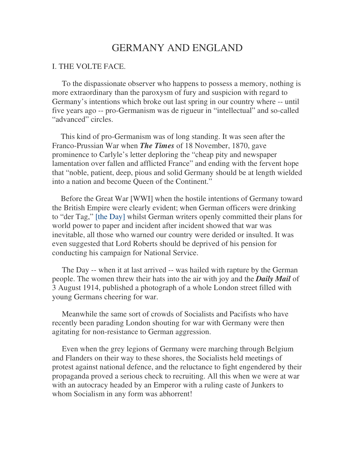# GERMANY AND ENGLAND

### I. THE VOLTE FACE.

 To the dispassionate observer who happens to possess a memory, nothing is more extraordinary than the paroxysm of fury and suspicion with regard to Germany's intentions which broke out last spring in our country where -- until five years ago -- pro-Germanism was de rigueur in "intellectual" and so-called "advanced" circles.

 This kind of pro-Germanism was of long standing. It was seen after the Franco-Prussian War when *The Times* of 18 November, 1870, gave prominence to Carlyle's letter deploring the "cheap pity and newspaper lamentation over fallen and afflicted France" and ending with the fervent hope that "noble, patient, deep, pious and solid Germany should be at length wielded into a nation and become Queen of the Continent."

 Before the Great War [WWI] when the hostile intentions of Germany toward the British Empire were clearly evident; when German officers were drinking to "der Tag," [the Day] whilst German writers openly committed their plans for world power to paper and incident after incident showed that war was inevitable, all those who warned our country were derided or insulted. It was even suggested that Lord Roberts should be deprived of his pension for conducting his campaign for National Service.

 The Day -- when it at last arrived -- was hailed with rapture by the German people. The women threw their hats into the air with joy and the *Daily Mail* of 3 August 1914, published a photograph of a whole London street filled with young Germans cheering for war.

 Meanwhile the same sort of crowds of Socialists and Pacifists who have recently been parading London shouting for war with Germany were then agitating for non-resistance to German aggression.

 Even when the grey legions of Germany were marching through Belgium and Flanders on their way to these shores, the Socialists held meetings of protest against national defence, and the reluctance to fight engendered by their propaganda proved a serious check to recruiting. All this when we were at war with an autocracy headed by an Emperor with a ruling caste of Junkers to whom Socialism in any form was abhorrent!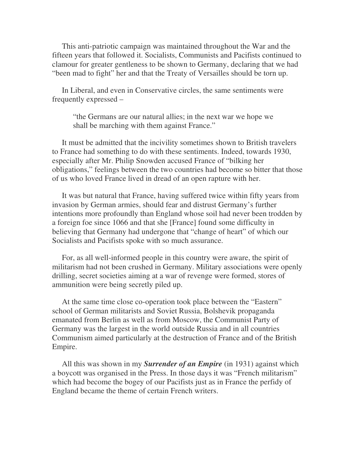This anti-patriotic campaign was maintained throughout the War and the fifteen years that followed it. Socialists, Communists and Pacifists continued to clamour for greater gentleness to be shown to Germany, declaring that we had "been mad to fight" her and that the Treaty of Versailles should be torn up.

 In Liberal, and even in Conservative circles, the same sentiments were frequently expressed –

"the Germans are our natural allies; in the next war we hope we shall be marching with them against France."

 It must be admitted that the incivility sometimes shown to British travelers to France had something to do with these sentiments. Indeed, towards 1930, especially after Mr. Philip Snowden accused France of "bilking her obligations," feelings between the two countries had become so bitter that those of us who loved France lived in dread of an open rapture with her.

 It was but natural that France, having suffered twice within fifty years from invasion by German armies, should fear and distrust Germany's further intentions more profoundly than England whose soil had never been trodden by a foreign foe since 1066 and that she [France] found some difficulty in believing that Germany had undergone that "change of heart" of which our Socialists and Pacifists spoke with so much assurance.

 For, as all well-informed people in this country were aware, the spirit of militarism had not been crushed in Germany. Military associations were openly drilling, secret societies aiming at a war of revenge were formed, stores of ammunition were being secretly piled up.

 At the same time close co-operation took place between the "Eastern" school of German militarists and Soviet Russia, Bolshevik propaganda emanated from Berlin as well as from Moscow, the Communist Party of Germany was the largest in the world outside Russia and in all countries Communism aimed particularly at the destruction of France and of the British Empire.

 All this was shown in my *Surrender of an Empire* (in 1931) against which a boycott was organised in the Press. In those days it was "French militarism" which had become the bogey of our Pacifists just as in France the perfidy of England became the theme of certain French writers.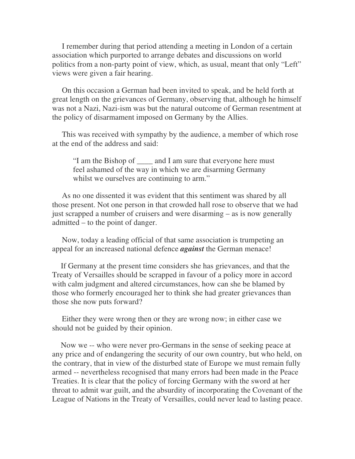I remember during that period attending a meeting in London of a certain association which purported to arrange debates and discussions on world politics from a non-party point of view, which, as usual, meant that only "Left" views were given a fair hearing.

 On this occasion a German had been invited to speak, and be held forth at great length on the grievances of Germany, observing that, although he himself was not a Nazi, Nazi-ism was but the natural outcome of German resentment at the policy of disarmament imposed on Germany by the Allies.

 This was received with sympathy by the audience, a member of which rose at the end of the address and said:

"I am the Bishop of \_\_\_\_ and I am sure that everyone here must feel ashamed of the way in which we are disarming Germany whilst we ourselves are continuing to arm."

 As no one dissented it was evident that this sentiment was shared by all those present. Not one person in that crowded hall rose to observe that we had just scrapped a number of cruisers and were disarming – as is now generally admitted – to the point of danger.

 Now, today a leading official of that same association is trumpeting an appeal for an increased national defence *against* the German menace!

 If Germany at the present time considers she has grievances, and that the Treaty of Versailles should be scrapped in favour of a policy more in accord with calm judgment and altered circumstances, how can she be blamed by those who formerly encouraged her to think she had greater grievances than those she now puts forward?

 Either they were wrong then or they are wrong now; in either case we should not be guided by their opinion.

 Now we -- who were never pro-Germans in the sense of seeking peace at any price and of endangering the security of our own country, but who held, on the contrary, that in view of the disturbed state of Europe we must remain fully armed -- nevertheless recognised that many errors had been made in the Peace Treaties. It is clear that the policy of forcing Germany with the sword at her throat to admit war guilt, and the absurdity of incorporating the Covenant of the League of Nations in the Treaty of Versailles, could never lead to lasting peace.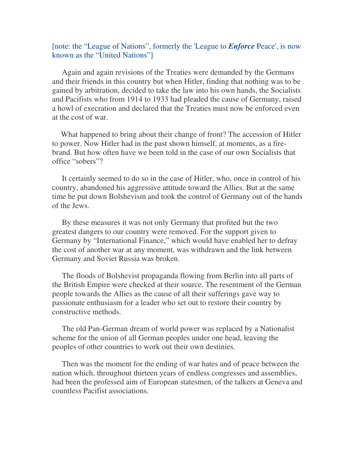# [note: the "League of Nations", formerly the 'League to *Enforce* Peace', is now known as the "United Nations"]

 Again and again revisions of the Treaties were demanded by the Germans and their friends in this country but when Hitler, finding that nothing was to be gained by arbitration, decided to take the law into his own hands, the Socialists and Pacifists who from 1914 to 1933 had pleaded the cause of Germany, raised a howl of execration and declared that the Treaties must now be enforced even at the cost of war.

 What happened to bring about their change of front? The accession of Hitler to power. Now Hitler had in the past shown himself, at moments, as a firebrand. But how often have we been told in the case of our own Socialists that office "sobers"?

 It certainly seemed to do so in the case of Hitler, who, once in control of his country, abandoned his aggressive attitude toward the Allies. But at the same time he put down Bolshevism and took the control of Germany out of the hands of the Jews.

 By these measures it was not only Germany that profited but the two greatest dangers to our country were removed. For the support given to Germany by "International Finance," which would have enabled her to defray the cost of another war at any moment, was withdrawn and the link between Germany and Soviet Russia was broken.

 The floods of Bolshevist propaganda flowing from Berlin into all parts of the British Empire were checked at their source. The resentment of the German people towards the Allies as the cause of all their sufferings gave way to passionate enthusiasm for a leader who set out to restore their country by constructive methods.

 The old Pan-German dream of world power was replaced by a Nationalist scheme for the union of all German peoples under one head, leaving the peoples of other countries to work out their own destinies.

 Then was the moment for the ending of war hates and of peace between the nation which, throughout thirteen years of endless congresses and assemblies, had been the professed aim of European statesmen, of the talkers at Geneva and countless Pacifist associations.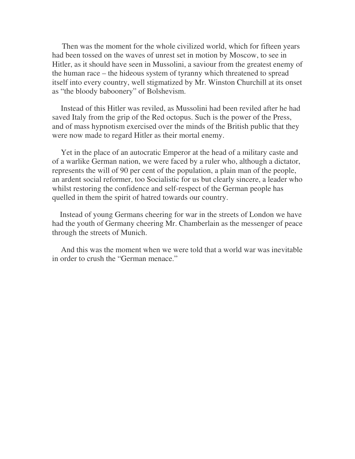Then was the moment for the whole civilized world, which for fifteen years had been tossed on the waves of unrest set in motion by Moscow, to see in Hitler, as it should have seen in Mussolini, a saviour from the greatest enemy of the human race – the hideous system of tyranny which threatened to spread itself into every country, well stigmatized by Mr. Winston Churchill at its onset as "the bloody baboonery" of Bolshevism.

 Instead of this Hitler was reviled, as Mussolini had been reviled after he had saved Italy from the grip of the Red octopus. Such is the power of the Press, and of mass hypnotism exercised over the minds of the British public that they were now made to regard Hitler as their mortal enemy.

 Yet in the place of an autocratic Emperor at the head of a military caste and of a warlike German nation, we were faced by a ruler who, although a dictator, represents the will of 90 per cent of the population, a plain man of the people, an ardent social reformer, too Socialistic for us but clearly sincere, a leader who whilst restoring the confidence and self-respect of the German people has quelled in them the spirit of hatred towards our country.

 Instead of young Germans cheering for war in the streets of London we have had the youth of Germany cheering Mr. Chamberlain as the messenger of peace through the streets of Munich.

 And this was the moment when we were told that a world war was inevitable in order to crush the "German menace."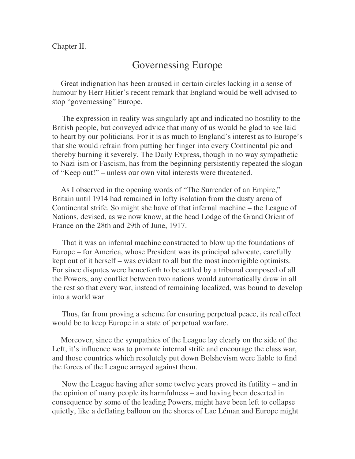Chapter II.

# Governessing Europe

 Great indignation has been aroused in certain circles lacking in a sense of humour by Herr Hitler's recent remark that England would be well advised to stop "governessing" Europe.

 The expression in reality was singularly apt and indicated no hostility to the British people, but conveyed advice that many of us would be glad to see laid to heart by our politicians. For it is as much to England's interest as to Europe's that she would refrain from putting her finger into every Continental pie and thereby burning it severely. The Daily Express, though in no way sympathetic to Nazi-ism or Fascism, has from the beginning persistently repeated the slogan of "Keep out!" – unless our own vital interests were threatened.

 As I observed in the opening words of "The Surrender of an Empire," Britain until 1914 had remained in lofty isolation from the dusty arena of Continental strife. So might she have of that infernal machine – the League of Nations, devised, as we now know, at the head Lodge of the Grand Orient of France on the 28th and 29th of June, 1917.

 That it was an infernal machine constructed to blow up the foundations of Europe – for America, whose President was its principal advocate, carefully kept out of it herself – was evident to all but the most incorrigible optimists. For since disputes were henceforth to be settled by a tribunal composed of all the Powers, any conflict between two nations would automatically draw in all the rest so that every war, instead of remaining localized, was bound to develop into a world war.

 Thus, far from proving a scheme for ensuring perpetual peace, its real effect would be to keep Europe in a state of perpetual warfare.

 Moreover, since the sympathies of the League lay clearly on the side of the Left, it's influence was to promote internal strife and encourage the class war, and those countries which resolutely put down Bolshevism were liable to find the forces of the League arrayed against them.

 Now the League having after some twelve years proved its futility – and in the opinion of many people its harmfulness – and having been deserted in consequence by some of the leading Powers, might have been left to collapse quietly, like a deflating balloon on the shores of Lac Léman and Europe might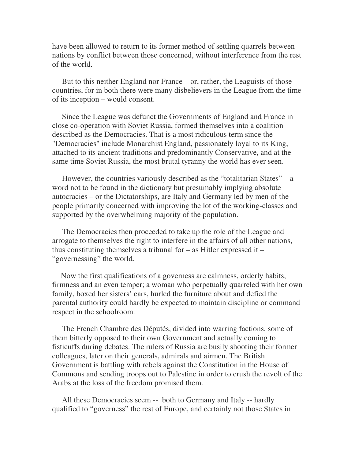have been allowed to return to its former method of settling quarrels between nations by conflict between those concerned, without interference from the rest of the world.

 But to this neither England nor France – or, rather, the Leaguists of those countries, for in both there were many disbelievers in the League from the time of its inception – would consent.

 Since the League was defunct the Governments of England and France in close co-operation with Soviet Russia, formed themselves into a coalition described as the Democracies. That is a most ridiculous term since the "Democracies" include Monarchist England, passionately loyal to its King, attached to its ancient traditions and predominantly Conservative, and at the same time Soviet Russia, the most brutal tyranny the world has ever seen.

 However, the countries variously described as the "totalitarian States" – a word not to be found in the dictionary but presumably implying absolute autocracies – or the Dictatorships, are Italy and Germany led by men of the people primarily concerned with improving the lot of the working-classes and supported by the overwhelming majority of the population.

 The Democracies then proceeded to take up the role of the League and arrogate to themselves the right to interfere in the affairs of all other nations, thus constituting themselves a tribunal for  $-$  as Hitler expressed it  $-$ "governessing" the world.

 Now the first qualifications of a governess are calmness, orderly habits, firmness and an even temper; a woman who perpetually quarreled with her own family, boxed her sisters' ears, hurled the furniture about and defied the parental authority could hardly be expected to maintain discipline or command respect in the schoolroom.

 The French Chambre des Députés, divided into warring factions, some of them bitterly opposed to their own Government and actually coming to fisticuffs during debates. The rulers of Russia are busily shooting their former colleagues, later on their generals, admirals and airmen. The British Government is battling with rebels against the Constitution in the House of Commons and sending troops out to Palestine in order to crush the revolt of the Arabs at the loss of the freedom promised them.

 All these Democracies seem -- both to Germany and Italy -- hardly qualified to "governess" the rest of Europe, and certainly not those States in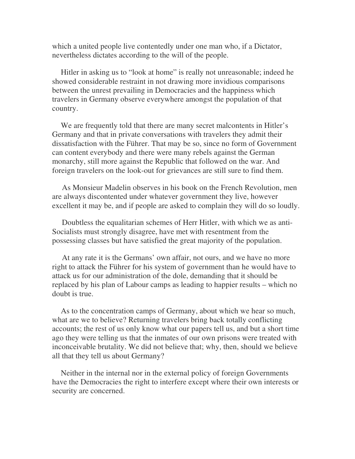which a united people live contentedly under one man who, if a Dictator, nevertheless dictates according to the will of the people.

 Hitler in asking us to "look at home" is really not unreasonable; indeed he showed considerable restraint in not drawing more invidious comparisons between the unrest prevailing in Democracies and the happiness which travelers in Germany observe everywhere amongst the population of that country.

 We are frequently told that there are many secret malcontents in Hitler's Germany and that in private conversations with travelers they admit their dissatisfaction with the Führer. That may be so, since no form of Government can content everybody and there were many rebels against the German monarchy, still more against the Republic that followed on the war. And foreign travelers on the look-out for grievances are still sure to find them.

 As Monsieur Madelin observes in his book on the French Revolution, men are always discontented under whatever government they live, however excellent it may be, and if people are asked to complain they will do so loudly.

 Doubtless the equalitarian schemes of Herr Hitler, with which we as anti-Socialists must strongly disagree, have met with resentment from the possessing classes but have satisfied the great majority of the population.

 At any rate it is the Germans' own affair, not ours, and we have no more right to attack the Führer for his system of government than he would have to attack us for our administration of the dole, demanding that it should be replaced by his plan of Labour camps as leading to happier results – which no doubt is true.

 As to the concentration camps of Germany, about which we hear so much, what are we to believe? Returning travelers bring back totally conflicting accounts; the rest of us only know what our papers tell us, and but a short time ago they were telling us that the inmates of our own prisons were treated with inconceivable brutality. We did not believe that; why, then, should we believe all that they tell us about Germany?

 Neither in the internal nor in the external policy of foreign Governments have the Democracies the right to interfere except where their own interests or security are concerned.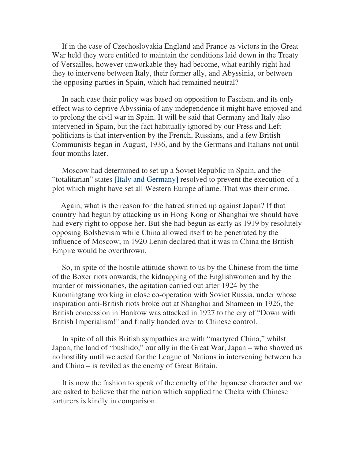If in the case of Czechoslovakia England and France as victors in the Great War held they were entitled to maintain the conditions laid down in the Treaty of Versailles, however unworkable they had become, what earthly right had they to intervene between Italy, their former ally, and Abyssinia, or between the opposing parties in Spain, which had remained neutral?

 In each case their policy was based on opposition to Fascism, and its only effect was to deprive Abyssinia of any independence it might have enjoyed and to prolong the civil war in Spain. It will be said that Germany and Italy also intervened in Spain, but the fact habitually ignored by our Press and Left politicians is that intervention by the French, Russians, and a few British Communists began in August, 1936, and by the Germans and Italians not until four months later.

 Moscow had determined to set up a Soviet Republic in Spain, and the "totalitarian" states [Italy and Germany] resolved to prevent the execution of a plot which might have set all Western Europe aflame. That was their crime.

 Again, what is the reason for the hatred stirred up against Japan? If that country had begun by attacking us in Hong Kong or Shanghai we should have had every right to oppose her. But she had begun as early as 1919 by resolutely opposing Bolshevism while China allowed itself to be penetrated by the influence of Moscow; in 1920 Lenin declared that it was in China the British Empire would be overthrown.

 So, in spite of the hostile attitude shown to us by the Chinese from the time of the Boxer riots onwards, the kidnapping of the Englishwomen and by the murder of missionaries, the agitation carried out after 1924 by the Kuomingtang working in close co-operation with Soviet Russia, under whose inspiration anti-British riots broke out at Shanghai and Shameen in 1926, the British concession in Hankow was attacked in 1927 to the cry of "Down with British Imperialism!" and finally handed over to Chinese control.

 In spite of all this British sympathies are with "martyred China," whilst Japan, the land of "bushido," our ally in the Great War, Japan – who showed us no hostility until we acted for the League of Nations in intervening between her and China – is reviled as the enemy of Great Britain.

 It is now the fashion to speak of the cruelty of the Japanese character and we are asked to believe that the nation which supplied the Cheka with Chinese torturers is kindly in comparison.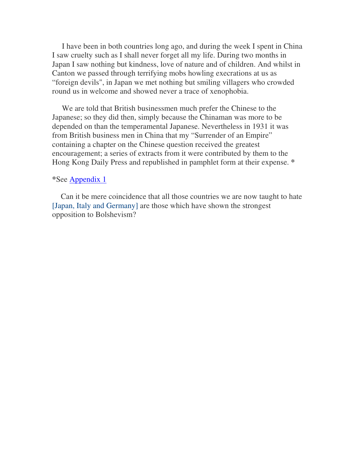I have been in both countries long ago, and during the week I spent in China I saw cruelty such as I shall never forget all my life. During two months in Japan I saw nothing but kindness, love of nature and of children. And whilst in Canton we passed through terrifying mobs howling execrations at us as "foreign devils", in Japan we met nothing but smiling villagers who crowded round us in welcome and showed never a trace of xenophobia.

 We are told that British businessmen much prefer the Chinese to the Japanese; so they did then, simply because the Chinaman was more to be depended on than the temperamental Japanese. Nevertheless in 1931 it was from British business men in China that my "Surrender of an Empire" containing a chapter on the Chinese question received the greatest encouragement; a series of extracts from it were contributed by them to the Hong Kong Daily Press and republished in pamphlet form at their expense. **\***

### **\***See Appendix 1

 Can it be mere coincidence that all those countries we are now taught to hate [Japan, Italy and Germany] are those which have shown the strongest opposition to Bolshevism?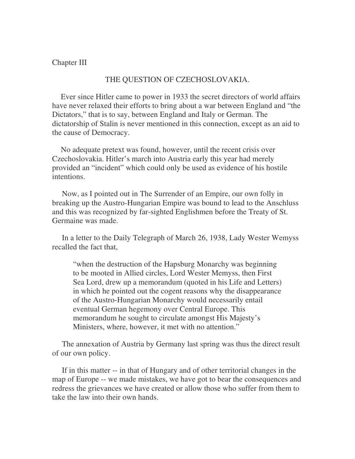#### Chapter III

### THE QUESTION OF CZECHOSLOVAKIA.

 Ever since Hitler came to power in 1933 the secret directors of world affairs have never relaxed their efforts to bring about a war between England and "the Dictators," that is to say, between England and Italy or German. The dictatorship of Stalin is never mentioned in this connection, except as an aid to the cause of Democracy.

 No adequate pretext was found, however, until the recent crisis over Czechoslovakia. Hitler's march into Austria early this year had merely provided an "incident" which could only be used as evidence of his hostile intentions.

 Now, as I pointed out in The Surrender of an Empire, our own folly in breaking up the Austro-Hungarian Empire was bound to lead to the Anschluss and this was recognized by far-sighted Englishmen before the Treaty of St. Germaine was made.

 In a letter to the Daily Telegraph of March 26, 1938, Lady Wester Wemyss recalled the fact that,

"when the destruction of the Hapsburg Monarchy was beginning to be mooted in Allied circles, Lord Wester Memyss, then First Sea Lord, drew up a memorandum (quoted in his Life and Letters) in which he pointed out the cogent reasons why the disappearance of the Austro-Hungarian Monarchy would necessarily entail eventual German hegemony over Central Europe. This memorandum he sought to circulate amongst His Majesty's Ministers, where, however, it met with no attention."

 The annexation of Austria by Germany last spring was thus the direct result of our own policy.

 If in this matter -- in that of Hungary and of other territorial changes in the map of Europe -- we made mistakes, we have got to bear the consequences and redress the grievances we have created or allow those who suffer from them to take the law into their own hands.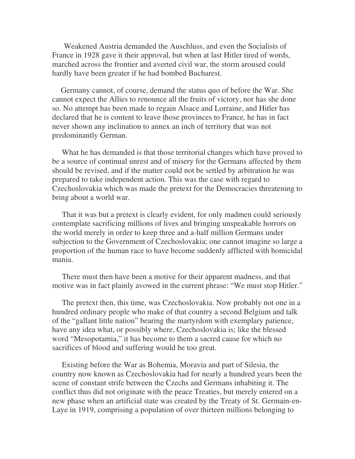Weakened Austria demanded the Auschluss, and even the Socialists of France in 1928 gave it their approval, but when at last Hitler tired of words, marched across the frontier and averted civil war, the storm aroused could hardly have been greater if he had bombed Bucharest.

 Germany cannot, of course, demand the status quo of before the War. She cannot expect the Allies to renounce all the fruits of victory, nor has she done so. No attempt has been made to regain Alsace and Lorraine, and Hitler has declared that he is content to leave those provinces to France, he has in fact never shown any inclination to annex an inch of territory that was not predominantly German.

 What he has demanded is that those territorial changes which have proved to be a source of continual unrest and of misery for the Germans affected by them should be revised, and if the matter could not be settled by arbitration he was prepared to take independent action. This was the case with regard to Czechoslovakia which was made the pretext for the Democracies threatening to bring about a world war.

 That it was but a pretext is clearly evident, for only madmen could seriously contemplate sacrificing millions of lives and bringing unspeakable horrors on the world merely in order to keep three and a-half million Germans under subjection to the Government of Czechoslovakia; one cannot imagine so large a proportion of the human race to have become suddenly afflicted with homicidal mania.

 There must then have been a motive for their apparent madness, and that motive was in fact plainly avowed in the current phrase: "We must stop Hitler."

 The pretext then, this time, was Czechoslovakia. Now probably not one in a hundred ordinary people who make of that country a second Belgium and talk of the "gallant little nation" bearing the martyrdom with exemplary patience, have any idea what, or possibly where, Czechoslovakia is; like the blessed word "Mesopotamia," it has become to them a sacred cause for which no sacrifices of blood and suffering would be too great.

 Existing before the War as Bohemia, Moravia and part of Silesia, the country now known as Czechoslovakia had for nearly a hundred years been the scene of constant strife between the Czechs and Germans inhabiting it. The conflict thus did not originate with the peace Treaties, but merely entered on a new phase when an artificial state was created by the Treaty of St. Germain-en-Laye in 1919, comprising a population of over thirteen millions belonging to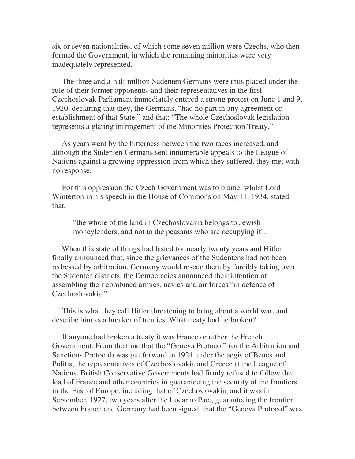six or seven nationalities, of which some seven million were Czechs, who then formed the Government, in which the remaining minorities were very inadequately represented.

 The three and a-half million Sudenten Germans were thus placed under the rule of their former opponents, and their representatives in the first Czechoslovak Parliament immediately entered a strong protest on June 1 and 9, 1920, declaring that they, the Germans, "had no part in any agreement or establishment of that State," and that: "The whole Czechoslovak legislation represents a glaring infringement of the Minorities Protection Treaty."

 As years went by the bitterness between the two races increased, and although the Sudenten Germans sent innumerable appeals to the League of Nations against a growing oppression from which they suffered, they met with no response.

 For this oppression the Czech Government was to blame, whilst Lord Winterton in his speech in the House of Commons on May 11, 1934, stated that,

"the whole of the land in Czechoslovakia belongs to Jewish moneylenders, and not to the peasants who are occupying it".

 When this state of things had lasted for nearly twenty years and Hitler finally announced that, since the grievances of the Sudentens had not been redressed by arbitration, Germany would rescue them by forcibly taking over the Sudenten districts, the Democracies announced their intention of assembling their combined armies, navies and air forces "in defence of Czechoslovakia."

 This is what they call Hitler threatening to bring about a world war, and describe him as a breaker of treaties. What treaty had he broken?

 If anyone had broken a treaty it was France or rather the French Government. From the time that the "Geneva Protocol" (or the Arbitration and Sanctions Protocol) was put forward in 1924 under the aegis of Benes and Politis, the representatives of Czechoslovakia and Greece at the League of Nations, British Conservative Governments had firmly refused to follow the lead of France and other countries in guaranteeing the security of the frontiers in the East of Europe, including that of Czechoslovakia, and it was in September, 1927, two years after the Locarno Pact, guaranteeing the frontier between France and Germany had been signed, that the "Geneva Protocol" was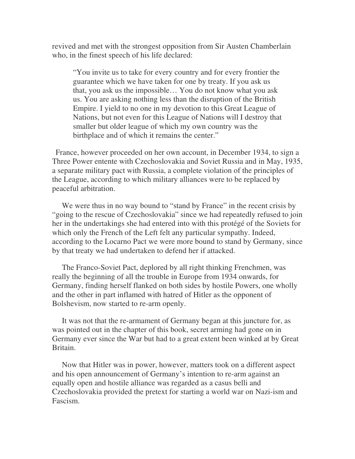revived and met with the strongest opposition from Sir Austen Chamberlain who, in the finest speech of his life declared:

"You invite us to take for every country and for every frontier the guarantee which we have taken for one by treaty. If you ask us that, you ask us the impossible… You do not know what you ask us. You are asking nothing less than the disruption of the British Empire. I yield to no one in my devotion to this Great League of Nations, but not even for this League of Nations will I destroy that smaller but older league of which my own country was the birthplace and of which it remains the center."

 France, however proceeded on her own account, in December 1934, to sign a Three Power entente with Czechoslovakia and Soviet Russia and in May, 1935, a separate military pact with Russia, a complete violation of the principles of the League, according to which military alliances were to be replaced by peaceful arbitration.

We were thus in no way bound to "stand by France" in the recent crisis by "going to the rescue of Czechoslovakia" since we had repeatedly refused to join her in the undertakings she had entered into with this protégé of the Soviets for which only the French of the Left felt any particular sympathy. Indeed, according to the Locarno Pact we were more bound to stand by Germany, since by that treaty we had undertaken to defend her if attacked.

 The Franco-Soviet Pact, deplored by all right thinking Frenchmen, was really the beginning of all the trouble in Europe from 1934 onwards, for Germany, finding herself flanked on both sides by hostile Powers, one wholly and the other in part inflamed with hatred of Hitler as the opponent of Bolshevism, now started to re-arm openly.

 It was not that the re-armament of Germany began at this juncture for, as was pointed out in the chapter of this book, secret arming had gone on in Germany ever since the War but had to a great extent been winked at by Great Britain.

 Now that Hitler was in power, however, matters took on a different aspect and his open announcement of Germany's intention to re-arm against an equally open and hostile alliance was regarded as a casus belli and Czechoslovakia provided the pretext for starting a world war on Nazi-ism and Fascism.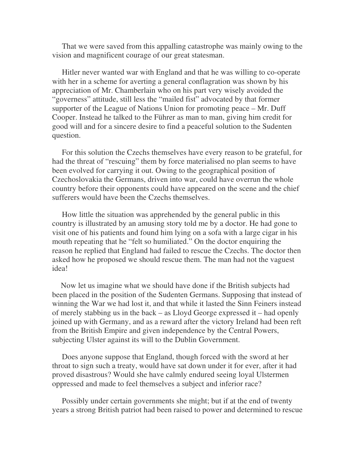That we were saved from this appalling catastrophe was mainly owing to the vision and magnificent courage of our great statesman.

 Hitler never wanted war with England and that he was willing to co-operate with her in a scheme for averting a general conflagration was shown by his appreciation of Mr. Chamberlain who on his part very wisely avoided the "governess" attitude, still less the "mailed fist" advocated by that former supporter of the League of Nations Union for promoting peace – Mr. Duff Cooper. Instead he talked to the Führer as man to man, giving him credit for good will and for a sincere desire to find a peaceful solution to the Sudenten question.

 For this solution the Czechs themselves have every reason to be grateful, for had the threat of "rescuing" them by force materialised no plan seems to have been evolved for carrying it out. Owing to the geographical position of Czechoslovakia the Germans, driven into war, could have overrun the whole country before their opponents could have appeared on the scene and the chief sufferers would have been the Czechs themselves.

 How little the situation was apprehended by the general public in this country is illustrated by an amusing story told me by a doctor. He had gone to visit one of his patients and found him lying on a sofa with a large cigar in his mouth repeating that he "felt so humiliated." On the doctor enquiring the reason he replied that England had failed to rescue the Czechs. The doctor then asked how he proposed we should rescue them. The man had not the vaguest idea!

 Now let us imagine what we should have done if the British subjects had been placed in the position of the Sudenten Germans. Supposing that instead of winning the War we had lost it, and that while it lasted the Sinn Feiners instead of merely stabbing us in the back – as Lloyd George expressed it – had openly joined up with Germany, and as a reward after the victory Ireland had been reft from the British Empire and given independence by the Central Powers, subjecting Ulster against its will to the Dublin Government.

 Does anyone suppose that England, though forced with the sword at her throat to sign such a treaty, would have sat down under it for ever, after it had proved disastrous? Would she have calmly endured seeing loyal Ulstermen oppressed and made to feel themselves a subject and inferior race?

 Possibly under certain governments she might; but if at the end of twenty years a strong British patriot had been raised to power and determined to rescue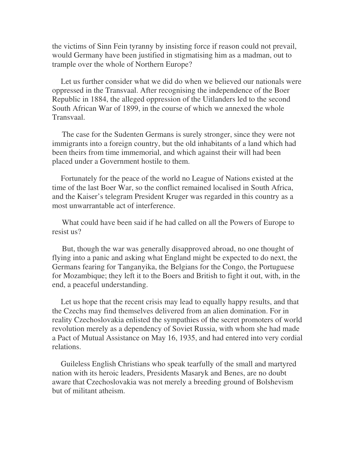the victims of Sinn Fein tyranny by insisting force if reason could not prevail, would Germany have been justified in stigmatising him as a madman, out to trample over the whole of Northern Europe?

 Let us further consider what we did do when we believed our nationals were oppressed in the Transvaal. After recognising the independence of the Boer Republic in 1884, the alleged oppression of the Uitlanders led to the second South African War of 1899, in the course of which we annexed the whole Transvaal.

 The case for the Sudenten Germans is surely stronger, since they were not immigrants into a foreign country, but the old inhabitants of a land which had been theirs from time immemorial, and which against their will had been placed under a Government hostile to them.

 Fortunately for the peace of the world no League of Nations existed at the time of the last Boer War, so the conflict remained localised in South Africa, and the Kaiser's telegram President Kruger was regarded in this country as a most unwarrantable act of interference.

 What could have been said if he had called on all the Powers of Europe to resist us?

 But, though the war was generally disapproved abroad, no one thought of flying into a panic and asking what England might be expected to do next, the Germans fearing for Tanganyika, the Belgians for the Congo, the Portuguese for Mozambique; they left it to the Boers and British to fight it out, with, in the end, a peaceful understanding.

 Let us hope that the recent crisis may lead to equally happy results, and that the Czechs may find themselves delivered from an alien domination. For in reality Czechoslovakia enlisted the sympathies of the secret promoters of world revolution merely as a dependency of Soviet Russia, with whom she had made a Pact of Mutual Assistance on May 16, 1935, and had entered into very cordial relations.

 Guileless English Christians who speak tearfully of the small and martyred nation with its heroic leaders, Presidents Masaryk and Benes, are no doubt aware that Czechoslovakia was not merely a breeding ground of Bolshevism but of militant atheism.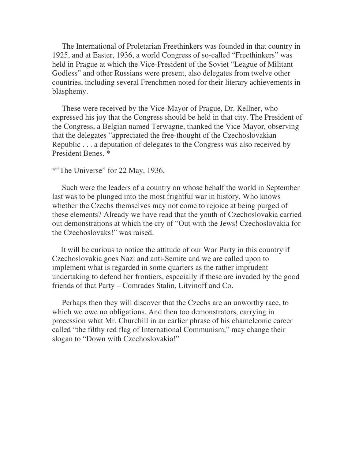The International of Proletarian Freethinkers was founded in that country in 1925, and at Easter, 1936, a world Congress of so-called "Freethinkers" was held in Prague at which the Vice-President of the Soviet "League of Militant Godless" and other Russians were present, also delegates from twelve other countries, including several Frenchmen noted for their literary achievements in blasphemy.

 These were received by the Vice-Mayor of Prague, Dr. Kellner, who expressed his joy that the Congress should be held in that city. The President of the Congress, a Belgian named Terwagne, thanked the Vice-Mayor, observing that the delegates "appreciated the free-thought of the Czechoslovakian Republic . . . a deputation of delegates to the Congress was also received by President Benes. \*

### \*"The Universe" for 22 May, 1936.

 Such were the leaders of a country on whose behalf the world in September last was to be plunged into the most frightful war in history. Who knows whether the Czechs themselves may not come to rejoice at being purged of these elements? Already we have read that the youth of Czechoslovakia carried out demonstrations at which the cry of "Out with the Jews! Czechoslovakia for the Czechoslovaks!" was raised.

 It will be curious to notice the attitude of our War Party in this country if Czechoslovakia goes Nazi and anti-Semite and we are called upon to implement what is regarded in some quarters as the rather imprudent undertaking to defend her frontiers, especially if these are invaded by the good friends of that Party – Comrades Stalin, Litvinoff and Co.

 Perhaps then they will discover that the Czechs are an unworthy race, to which we owe no obligations. And then too demonstrators, carrying in procession what Mr. Churchill in an earlier phrase of his chameleonic career called "the filthy red flag of International Communism," may change their slogan to "Down with Czechoslovakia!"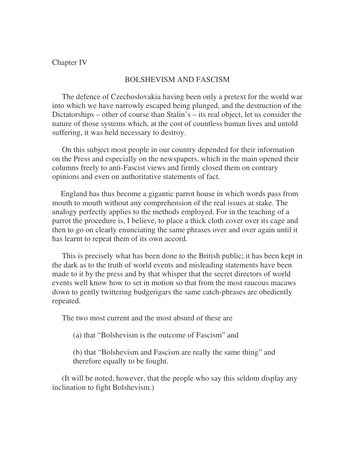### Chapter IV

#### BOLSHEVISM AND FASCISM

 The defence of Czechoslovakia having been only a pretext for the world war into which we have narrowly escaped being plunged, and the destruction of the Dictatorships – other of course than Stalin's – its real object, let us consider the nature of those systems which, at the cost of countless human lives and untold suffering, it was held necessary to destroy.

 On this subject most people in our country depended for their information on the Press and especially on the newspapers, which in the main opened their columns freely to anti-Fascist views and firmly closed them on contrary opinions and even on authoritative statements of fact.

 England has thus become a gigantic parrot house in which words pass from mouth to mouth without any comprehension of the real issues at stake. The analogy perfectly applies to the methods employed. For in the teaching of a parrot the procedure is, I believe, to place a thick cloth cover over its cage and then to go on clearly enunciating the same phrases over and over again until it has learnt to repeat them of its own accord.

 This is precisely what has been done to the British public; it has been kept in the dark as to the truth of world events and misleading statements have been made to it by the press and by that whisper that the secret directors of world events well know how to set in motion so that from the most raucous macaws down to gently twittering budgerigars the same catch-phrases are obediently repeated.

The two most current and the most absurd of these are

(a) that "Bolshevism is the outcome of Fascism" and

(b) that "Bolshevism and Fascism are really the same thing" and therefore equally to be fought.

 (It will be noted, however, that the people who say this seldom display any inclination to fight Bolshevism.)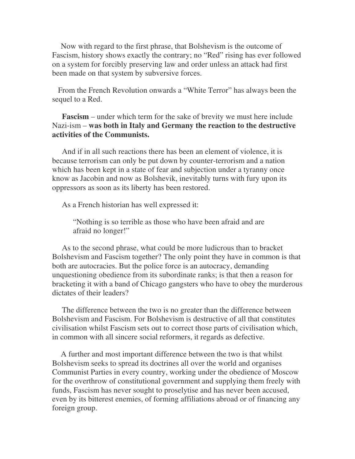Now with regard to the first phrase, that Bolshevism is the outcome of Fascism, history shows exactly the contrary; no "Red" rising has ever followed on a system for forcibly preserving law and order unless an attack had first been made on that system by subversive forces.

 From the French Revolution onwards a "White Terror" has always been the sequel to a Red.

# **Fascism** – under which term for the sake of brevity we must here include Nazi-ism – **was both in Italy and Germany the reaction to the destructive activities of the Communists.**

 And if in all such reactions there has been an element of violence, it is because terrorism can only be put down by counter-terrorism and a nation which has been kept in a state of fear and subjection under a tyranny once know as Jacobin and now as Bolshevik, inevitably turns with fury upon its oppressors as soon as its liberty has been restored.

As a French historian has well expressed it:

"Nothing is so terrible as those who have been afraid and are afraid no longer!"

 As to the second phrase, what could be more ludicrous than to bracket Bolshevism and Fascism together? The only point they have in common is that both are autocracies. But the police force is an autocracy, demanding unquestioning obedience from its subordinate ranks; is that then a reason for bracketing it with a band of Chicago gangsters who have to obey the murderous dictates of their leaders?

 The difference between the two is no greater than the difference between Bolshevism and Fascism. For Bolshevism is destructive of all that constitutes civilisation whilst Fascism sets out to correct those parts of civilisation which, in common with all sincere social reformers, it regards as defective.

 A further and most important difference between the two is that whilst Bolshevism seeks to spread its doctrines all over the world and organises Communist Parties in every country, working under the obedience of Moscow for the overthrow of constitutional government and supplying them freely with funds, Fascism has never sought to proselytise and has never been accused, even by its bitterest enemies, of forming affiliations abroad or of financing any foreign group.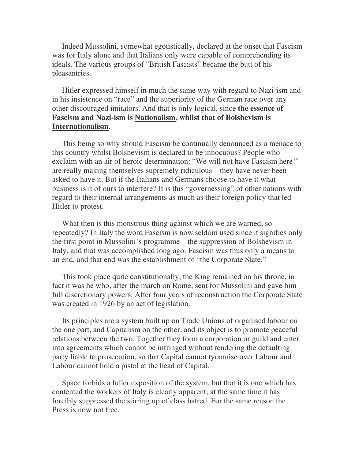Indeed Mussolini, somewhat egotistically, declared at the onset that Fascism was for Italy alone and that Italians only were capable of comprehending its ideals. The various groups of "British Fascists" became the butt of his pleasantries.

 Hitler expressed himself in much the same way with regard to Nazi-ism and in his insistence on "race" and the superiority of the German race over any other discouraged imitators. And that is only logical, since **the essence of Fascism and Nazi-ism is Nationalism, whilst that of Bolshevism is Internationalism**.

 This being so why should Fascism be continually denounced as a menace to this country whilst Bolshevism is declared to be innocuous? People who exclaim with an air of heroic determination: "We will not have Fascism here!" are really making themselves supremely ridiculous – they have never been asked to have it. But if the Italians and Germans choose to have it what business is it of ours to interfere? It is this "governessing" of other nations with regard to their internal arrangements as much as their foreign policy that led Hitler to protest.

What then is this monstrous thing against which we are warned, so repeatedly? In Italy the word Fascism is now seldom used since it signifies only the first point in Mussolini's programme – the suppression of Bolshevism in Italy, and that was accomplished long ago. Fascism was thus only a means to an end, and that end was the establishment of "the Corporate State."

 This took place quite constitutionally; the King remained on his throne, in fact it was he who, after the march on Rome, sent for Mussolini and gave him full discretionary powers. After four years of reconstruction the Corporate State was created in 1926 by an act of legislation.

 Its principles are a system built up on Trade Unions of organised labour on the one part, and Capitalism on the other, and its object is to promote peaceful relations between the two. Together they form a corporation or guild and enter into agreements which cannot be infringed without rendering the defaulting party liable to prosecution, so that Capital cannot tyrannise over Labour and Labour cannot hold a pistol at the head of Capital.

 Space forbids a fuller exposition of the system, but that it is one which has contented the workers of Italy is clearly apparent; at the same time it has forcibly suppressed the stirring up of class hatred. For the same reason the Press is now not free.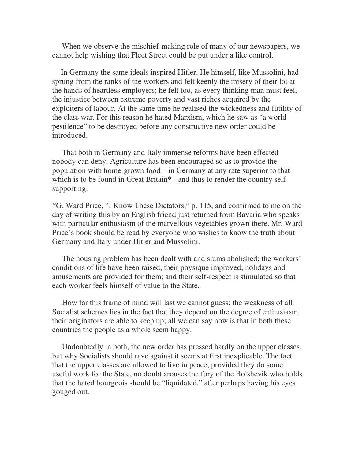When we observe the mischief-making role of many of our newspapers, we cannot help wishing that Fleet Street could be put under a like control.

 In Germany the same ideals inspired Hitler. He himself, like Mussolini, had sprung from the ranks of the workers and felt keenly the misery of their lot at the hands of heartless employers; he felt too, as every thinking man must feel, the injustice between extreme poverty and vast riches acquired by the exploiters of labour. At the same time he realised the wickedness and futility of the class war. For this reason he hated Marxism, which he saw as "a world pestilence" to be destroyed before any constructive new order could be introduced.

 That both in Germany and Italy immense reforms have been effected nobody can deny. Agriculture has been encouraged so as to provide the population with home-grown food – in Germany at any rate superior to that which is to be found in Great Britain**\*** - and thus to render the country selfsupporting.

**\***G. Ward Price, "I Know These Dictators," p. 115, and confirmed to me on the day of writing this by an English friend just returned from Bavaria who speaks with particular enthusiasm of the marvellous vegetables grown there. Mr. Ward Price's book should be read by everyone who wishes to know the truth about Germany and Italy under Hitler and Mussolini.

 The housing problem has been dealt with and slums abolished; the workers' conditions of life have been raised, their physique improved; holidays and amusements are provided for them; and their self-respect is stimulated so that each worker feels himself of value to the State.

 How far this frame of mind will last we cannot guess; the weakness of all Socialist schemes lies in the fact that they depend on the degree of enthusiasm their originators are able to keep up; all we can say now is that in both these countries the people as a whole seem happy.

 Undoubtedly in both, the new order has pressed hardly on the upper classes, but why Socialists should rave against it seems at first inexplicable. The fact that the upper classes are allowed to live in peace, provided they do some useful work for the State, no doubt arouses the fury of the Bolshevik who holds that the hated bourgeois should be "liquidated," after perhaps having his eyes gouged out.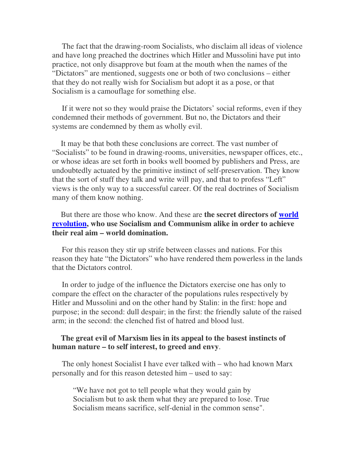The fact that the drawing-room Socialists, who disclaim all ideas of violence and have long preached the doctrines which Hitler and Mussolini have put into practice, not only disapprove but foam at the mouth when the names of the "Dictators" are mentioned, suggests one or both of two conclusions – either that they do not really wish for Socialism but adopt it as a pose, or that Socialism is a camouflage for something else.

 If it were not so they would praise the Dictators' social reforms, even if they condemned their methods of government. But no, the Dictators and their systems are condemned by them as wholly evil.

 It may be that both these conclusions are correct. The vast number of "Socialists" to be found in drawing-rooms, universities, newspaper offices, etc., or whose ideas are set forth in books well boomed by publishers and Press, are undoubtedly actuated by the primitive instinct of self-preservation. They know that the sort of stuff they talk and write will pay, and that to profess "Left" views is the only way to a successful career. Of the real doctrines of Socialism many of them know nothing.

 But there are those who know. And these are **the secret directors of world revolution, who use Socialism and Communism alike in order to achieve their real aim – world domination.** 

 For this reason they stir up strife between classes and nations. For this reason they hate "the Dictators" who have rendered them powerless in the lands that the Dictators control.

 In order to judge of the influence the Dictators exercise one has only to compare the effect on the character of the populations rules respectively by Hitler and Mussolini and on the other hand by Stalin: in the first: hope and purpose; in the second: dull despair; in the first: the friendly salute of the raised arm; in the second: the clenched fist of hatred and blood lust.

### **The great evil of Marxism lies in its appeal to the basest instincts of human nature – to self interest, to greed and envy**.

 The only honest Socialist I have ever talked with – who had known Marx personally and for this reason detested him – used to say:

"We have not got to tell people what they would gain by Socialism but to ask them what they are prepared to lose. True Socialism means sacrifice, self-denial in the common sense".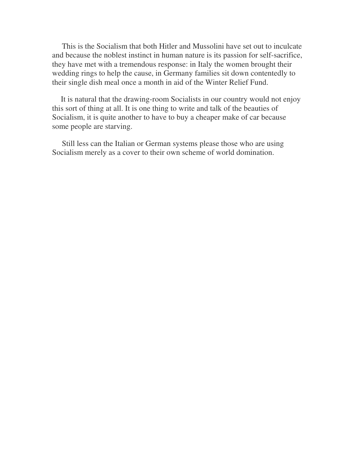This is the Socialism that both Hitler and Mussolini have set out to inculcate and because the noblest instinct in human nature is its passion for self-sacrifice, they have met with a tremendous response: in Italy the women brought their wedding rings to help the cause, in Germany families sit down contentedly to their single dish meal once a month in aid of the Winter Relief Fund.

 It is natural that the drawing-room Socialists in our country would not enjoy this sort of thing at all. It is one thing to write and talk of the beauties of Socialism, it is quite another to have to buy a cheaper make of car because some people are starving.

 Still less can the Italian or German systems please those who are using Socialism merely as a cover to their own scheme of world domination.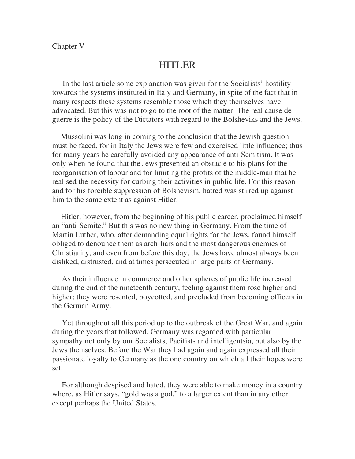# HITLER

 In the last article some explanation was given for the Socialists' hostility towards the systems instituted in Italy and Germany, in spite of the fact that in many respects these systems resemble those which they themselves have advocated. But this was not to go to the root of the matter. The real cause de guerre is the policy of the Dictators with regard to the Bolsheviks and the Jews.

 Mussolini was long in coming to the conclusion that the Jewish question must be faced, for in Italy the Jews were few and exercised little influence; thus for many years he carefully avoided any appearance of anti-Semitism. It was only when he found that the Jews presented an obstacle to his plans for the reorganisation of labour and for limiting the profits of the middle-man that he realised the necessity for curbing their activities in public life. For this reason and for his forcible suppression of Bolshevism, hatred was stirred up against him to the same extent as against Hitler.

 Hitler, however, from the beginning of his public career, proclaimed himself an "anti-Semite." But this was no new thing in Germany. From the time of Martin Luther, who, after demanding equal rights for the Jews, found himself obliged to denounce them as arch-liars and the most dangerous enemies of Christianity, and even from before this day, the Jews have almost always been disliked, distrusted, and at times persecuted in large parts of Germany.

 As their influence in commerce and other spheres of public life increased during the end of the nineteenth century, feeling against them rose higher and higher; they were resented, boycotted, and precluded from becoming officers in the German Army.

 Yet throughout all this period up to the outbreak of the Great War, and again during the years that followed, Germany was regarded with particular sympathy not only by our Socialists, Pacifists and intelligentsia, but also by the Jews themselves. Before the War they had again and again expressed all their passionate loyalty to Germany as the one country on which all their hopes were set.

 For although despised and hated, they were able to make money in a country where, as Hitler says, "gold was a god," to a larger extent than in any other except perhaps the United States.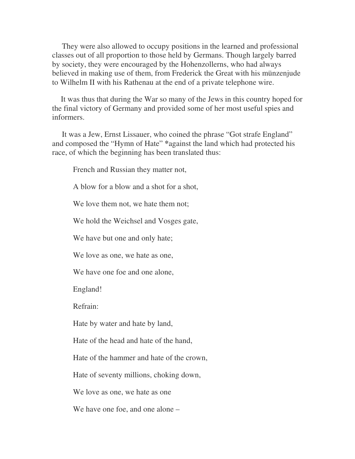They were also allowed to occupy positions in the learned and professional classes out of all proportion to those held by Germans. Though largely barred by society, they were encouraged by the Hohenzollerns, who had always believed in making use of them, from Frederick the Great with his münzenjude to Wilhelm II with his Rathenau at the end of a private telephone wire.

 It was thus that during the War so many of the Jews in this country hoped for the final victory of Germany and provided some of her most useful spies and informers.

 It was a Jew, Ernst Lissauer, who coined the phrase "Got strafe England" and composed the "Hymn of Hate" **\***against the land which had protected his race, of which the beginning has been translated thus:

French and Russian they matter not,

A blow for a blow and a shot for a shot,

We love them not, we hate them not;

We hold the Weichsel and Vosges gate,

We have but one and only hate;

We love as one, we hate as one,

We have one foe and one alone,

England!

Refrain:

Hate by water and hate by land,

Hate of the head and hate of the hand,

Hate of the hammer and hate of the crown,

Hate of seventy millions, choking down,

We love as one, we hate as one

We have one foe, and one alone –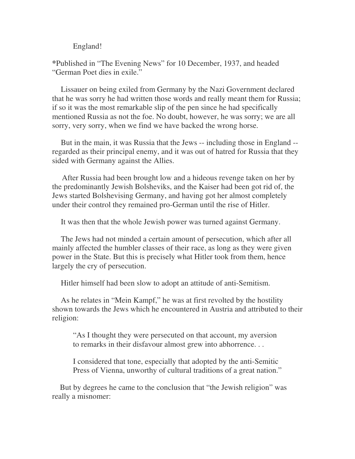England!

**\***Published in "The Evening News" for 10 December, 1937, and headed "German Poet dies in exile."

 Lissauer on being exiled from Germany by the Nazi Government declared that he was sorry he had written those words and really meant them for Russia; if so it was the most remarkable slip of the pen since he had specifically mentioned Russia as not the foe. No doubt, however, he was sorry; we are all sorry, very sorry, when we find we have backed the wrong horse.

 But in the main, it was Russia that the Jews -- including those in England - regarded as their principal enemy, and it was out of hatred for Russia that they sided with Germany against the Allies.

 After Russia had been brought low and a hideous revenge taken on her by the predominantly Jewish Bolsheviks, and the Kaiser had been got rid of, the Jews started Bolshevising Germany, and having got her almost completely under their control they remained pro-German until the rise of Hitler.

It was then that the whole Jewish power was turned against Germany.

 The Jews had not minded a certain amount of persecution, which after all mainly affected the humbler classes of their race, as long as they were given power in the State. But this is precisely what Hitler took from them, hence largely the cry of persecution.

Hitler himself had been slow to adopt an attitude of anti-Semitism.

 As he relates in "Mein Kampf," he was at first revolted by the hostility shown towards the Jews which he encountered in Austria and attributed to their religion:

"As I thought they were persecuted on that account, my aversion to remarks in their disfavour almost grew into abhorrence. . .

I considered that tone, especially that adopted by the anti-Semitic Press of Vienna, unworthy of cultural traditions of a great nation."

 But by degrees he came to the conclusion that "the Jewish religion" was really a misnomer: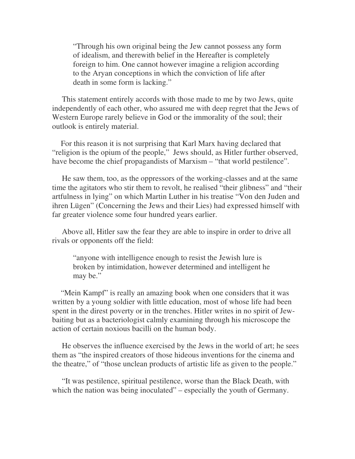"Through his own original being the Jew cannot possess any form of idealism, and therewith belief in the Hereafter is completely foreign to him. One cannot however imagine a religion according to the Aryan conceptions in which the conviction of life after death in some form is lacking."

 This statement entirely accords with those made to me by two Jews, quite independently of each other, who assured me with deep regret that the Jews of Western Europe rarely believe in God or the immorality of the soul; their outlook is entirely material.

 For this reason it is not surprising that Karl Marx having declared that "religion is the opium of the people," Jews should, as Hitler further observed, have become the chief propagandists of Marxism – "that world pestilence".

 He saw them, too, as the oppressors of the working-classes and at the same time the agitators who stir them to revolt, he realised "their glibness" and "their artfulness in lying" on which Martin Luther in his treatise "Von den Juden and ihren Lügen" (Concerning the Jews and their Lies) had expressed himself with far greater violence some four hundred years earlier.

 Above all, Hitler saw the fear they are able to inspire in order to drive all rivals or opponents off the field:

"anyone with intelligence enough to resist the Jewish lure is broken by intimidation, however determined and intelligent he may be."

 "Mein Kampf" is really an amazing book when one considers that it was written by a young soldier with little education, most of whose life had been spent in the direst poverty or in the trenches. Hitler writes in no spirit of Jewbaiting but as a bacteriologist calmly examining through his microscope the action of certain noxious bacilli on the human body.

 He observes the influence exercised by the Jews in the world of art; he sees them as "the inspired creators of those hideous inventions for the cinema and the theatre," of "those unclean products of artistic life as given to the people."

 "It was pestilence, spiritual pestilence, worse than the Black Death, with which the nation was being inoculated" – especially the youth of Germany.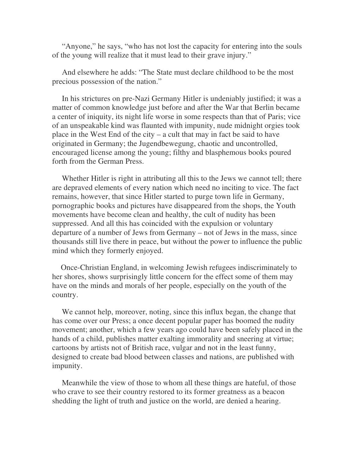"Anyone," he says, "who has not lost the capacity for entering into the souls of the young will realize that it must lead to their grave injury."

 And elsewhere he adds: "The State must declare childhood to be the most precious possession of the nation."

 In his strictures on pre-Nazi Germany Hitler is undeniably justified; it was a matter of common knowledge just before and after the War that Berlin became a center of iniquity, its night life worse in some respects than that of Paris; vice of an unspeakable kind was flaunted with impunity, nude midnight orgies took place in the West End of the city – a cult that may in fact be said to have originated in Germany; the Jugendbewegung, chaotic and uncontrolled, encouraged license among the young; filthy and blasphemous books poured forth from the German Press.

 Whether Hitler is right in attributing all this to the Jews we cannot tell; there are depraved elements of every nation which need no inciting to vice. The fact remains, however, that since Hitler started to purge town life in Germany, pornographic books and pictures have disappeared from the shops, the Youth movements have become clean and healthy, the cult of nudity has been suppressed. And all this has coincided with the expulsion or voluntary departure of a number of Jews from Germany – not of Jews in the mass, since thousands still live there in peace, but without the power to influence the public mind which they formerly enjoyed.

 Once-Christian England, in welcoming Jewish refugees indiscriminately to her shores, shows surprisingly little concern for the effect some of them may have on the minds and morals of her people, especially on the youth of the country.

 We cannot help, moreover, noting, since this influx began, the change that has come over our Press; a once decent popular paper has boomed the nudity movement; another, which a few years ago could have been safely placed in the hands of a child, publishes matter exalting immorality and sneering at virtue; cartoons by artists not of British race, vulgar and not in the least funny, designed to create bad blood between classes and nations, are published with impunity.

 Meanwhile the view of those to whom all these things are hateful, of those who crave to see their country restored to its former greatness as a beacon shedding the light of truth and justice on the world, are denied a hearing.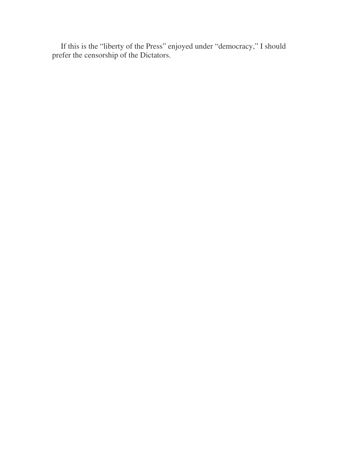If this is the "liberty of the Press" enjoyed under "democracy," I should prefer the censorship of the Dictators.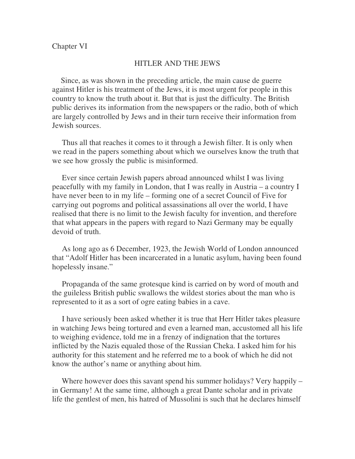### HITLER AND THE JEWS

 Since, as was shown in the preceding article, the main cause de guerre against Hitler is his treatment of the Jews, it is most urgent for people in this country to know the truth about it. But that is just the difficulty. The British public derives its information from the newspapers or the radio, both of which are largely controlled by Jews and in their turn receive their information from Jewish sources.

 Thus all that reaches it comes to it through a Jewish filter. It is only when we read in the papers something about which we ourselves know the truth that we see how grossly the public is misinformed.

 Ever since certain Jewish papers abroad announced whilst I was living peacefully with my family in London, that I was really in Austria – a country I have never been to in my life – forming one of a secret Council of Five for carrying out pogroms and political assassinations all over the world, I have realised that there is no limit to the Jewish faculty for invention, and therefore that what appears in the papers with regard to Nazi Germany may be equally devoid of truth.

 As long ago as 6 December, 1923, the Jewish World of London announced that "Adolf Hitler has been incarcerated in a lunatic asylum, having been found hopelessly insane."

 Propaganda of the same grotesque kind is carried on by word of mouth and the guileless British public swallows the wildest stories about the man who is represented to it as a sort of ogre eating babies in a cave.

 I have seriously been asked whether it is true that Herr Hitler takes pleasure in watching Jews being tortured and even a learned man, accustomed all his life to weighing evidence, told me in a frenzy of indignation that the tortures inflicted by the Nazis equaled those of the Russian Cheka. I asked him for his authority for this statement and he referred me to a book of which he did not know the author's name or anything about him.

Where however does this savant spend his summer holidays? Very happily – in Germany! At the same time, although a great Dante scholar and in private life the gentlest of men, his hatred of Mussolini is such that he declares himself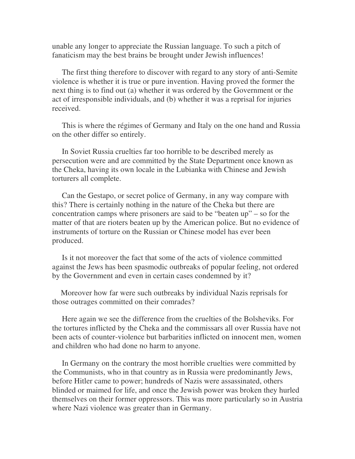unable any longer to appreciate the Russian language. To such a pitch of fanaticism may the best brains be brought under Jewish influences!

 The first thing therefore to discover with regard to any story of anti-Semite violence is whether it is true or pure invention. Having proved the former the next thing is to find out (a) whether it was ordered by the Government or the act of irresponsible individuals, and (b) whether it was a reprisal for injuries received.

 This is where the régimes of Germany and Italy on the one hand and Russia on the other differ so entirely.

 In Soviet Russia cruelties far too horrible to be described merely as persecution were and are committed by the State Department once known as the Cheka, having its own locale in the Lubianka with Chinese and Jewish torturers all complete.

 Can the Gestapo, or secret police of Germany, in any way compare with this? There is certainly nothing in the nature of the Cheka but there are concentration camps where prisoners are said to be "beaten up" – so for the matter of that are rioters beaten up by the American police. But no evidence of instruments of torture on the Russian or Chinese model has ever been produced.

 Is it not moreover the fact that some of the acts of violence committed against the Jews has been spasmodic outbreaks of popular feeling, not ordered by the Government and even in certain cases condemned by it?

 Moreover how far were such outbreaks by individual Nazis reprisals for those outrages committed on their comrades?

 Here again we see the difference from the cruelties of the Bolsheviks. For the tortures inflicted by the Cheka and the commissars all over Russia have not been acts of counter-violence but barbarities inflicted on innocent men, women and children who had done no harm to anyone.

 In Germany on the contrary the most horrible cruelties were committed by the Communists, who in that country as in Russia were predominantly Jews, before Hitler came to power; hundreds of Nazis were assassinated, others blinded or maimed for life, and once the Jewish power was broken they hurled themselves on their former oppressors. This was more particularly so in Austria where Nazi violence was greater than in Germany.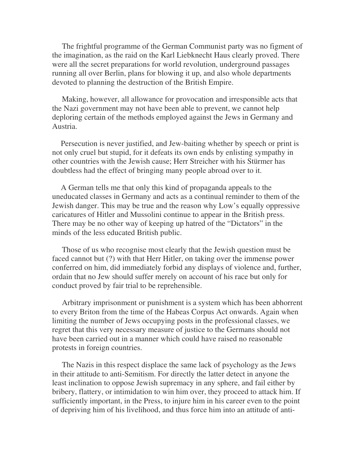The frightful programme of the German Communist party was no figment of the imagination, as the raid on the Karl Liebknecht Haus clearly proved. There were all the secret preparations for world revolution, underground passages running all over Berlin, plans for blowing it up, and also whole departments devoted to planning the destruction of the British Empire.

 Making, however, all allowance for provocation and irresponsible acts that the Nazi government may not have been able to prevent, we cannot help deploring certain of the methods employed against the Jews in Germany and Austria.

 Persecution is never justified, and Jew-baiting whether by speech or print is not only cruel but stupid, for it defeats its own ends by enlisting sympathy in other countries with the Jewish cause; Herr Streicher with his Stürmer has doubtless had the effect of bringing many people abroad over to it.

 A German tells me that only this kind of propaganda appeals to the uneducated classes in Germany and acts as a continual reminder to them of the Jewish danger. This may be true and the reason why Low's equally oppressive caricatures of Hitler and Mussolini continue to appear in the British press. There may be no other way of keeping up hatred of the "Dictators" in the minds of the less educated British public.

 Those of us who recognise most clearly that the Jewish question must be faced cannot but (?) with that Herr Hitler, on taking over the immense power conferred on him, did immediately forbid any displays of violence and, further, ordain that no Jew should suffer merely on account of his race but only for conduct proved by fair trial to be reprehensible.

 Arbitrary imprisonment or punishment is a system which has been abhorrent to every Briton from the time of the Habeas Corpus Act onwards. Again when limiting the number of Jews occupying posts in the professional classes, we regret that this very necessary measure of justice to the Germans should not have been carried out in a manner which could have raised no reasonable protests in foreign countries.

 The Nazis in this respect displace the same lack of psychology as the Jews in their attitude to anti-Semitism. For directly the latter detect in anyone the least inclination to oppose Jewish supremacy in any sphere, and fail either by bribery, flattery, or intimidation to win him over, they proceed to attack him. If sufficiently important, in the Press, to injure him in his career even to the point of depriving him of his livelihood, and thus force him into an attitude of anti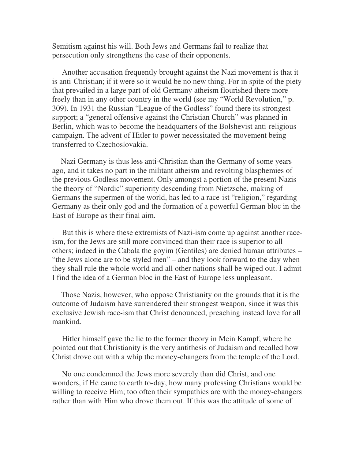Semitism against his will. Both Jews and Germans fail to realize that persecution only strengthens the case of their opponents.

 Another accusation frequently brought against the Nazi movement is that it is anti-Christian; if it were so it would be no new thing. For in spite of the piety that prevailed in a large part of old Germany atheism flourished there more freely than in any other country in the world (see my "World Revolution," p. 309). In 1931 the Russian "League of the Godless" found there its strongest support; a "general offensive against the Christian Church" was planned in Berlin, which was to become the headquarters of the Bolshevist anti-religious campaign. The advent of Hitler to power necessitated the movement being transferred to Czechoslovakia.

 Nazi Germany is thus less anti-Christian than the Germany of some years ago, and it takes no part in the militant atheism and revolting blasphemies of the previous Godless movement. Only amongst a portion of the present Nazis the theory of "Nordic" superiority descending from Nietzsche, making of Germans the supermen of the world, has led to a race-ist "religion," regarding Germany as their only god and the formation of a powerful German bloc in the East of Europe as their final aim.

 But this is where these extremists of Nazi-ism come up against another raceism, for the Jews are still more convinced than their race is superior to all others; indeed in the Cabala the goyim (Gentiles) are denied human attributes – "the Jews alone are to be styled men" – and they look forward to the day when they shall rule the whole world and all other nations shall be wiped out. I admit I find the idea of a German bloc in the East of Europe less unpleasant.

 Those Nazis, however, who oppose Christianity on the grounds that it is the outcome of Judaism have surrendered their strongest weapon, since it was this exclusive Jewish race-ism that Christ denounced, preaching instead love for all mankind.

 Hitler himself gave the lie to the former theory in Mein Kampf, where he pointed out that Christianity is the very antithesis of Judaism and recalled how Christ drove out with a whip the money-changers from the temple of the Lord.

 No one condemned the Jews more severely than did Christ, and one wonders, if He came to earth to-day, how many professing Christians would be willing to receive Him; too often their sympathies are with the money-changers rather than with Him who drove them out. If this was the attitude of some of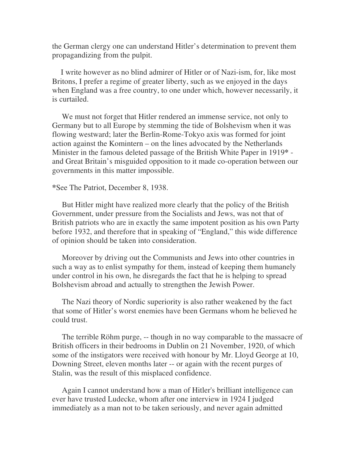the German clergy one can understand Hitler's determination to prevent them propagandizing from the pulpit.

 I write however as no blind admirer of Hitler or of Nazi-ism, for, like most Britons, I prefer a regime of greater liberty, such as we enjoyed in the days when England was a free country, to one under which, however necessarily, it is curtailed.

 We must not forget that Hitler rendered an immense service, not only to Germany but to all Europe by stemming the tide of Bolshevism when it was flowing westward; later the Berlin-Rome-Tokyo axis was formed for joint action against the Komintern – on the lines advocated by the Netherlands Minister in the famous deleted passage of the British White Paper in 1919**\*** and Great Britain's misguided opposition to it made co-operation between our governments in this matter impossible.

**\***See The Patriot, December 8, 1938.

 But Hitler might have realized more clearly that the policy of the British Government, under pressure from the Socialists and Jews, was not that of British patriots who are in exactly the same impotent position as his own Party before 1932, and therefore that in speaking of "England," this wide difference of opinion should be taken into consideration.

 Moreover by driving out the Communists and Jews into other countries in such a way as to enlist sympathy for them, instead of keeping them humanely under control in his own, he disregards the fact that he is helping to spread Bolshevism abroad and actually to strengthen the Jewish Power.

 The Nazi theory of Nordic superiority is also rather weakened by the fact that some of Hitler's worst enemies have been Germans whom he believed he could trust.

 The terrible Röhm purge, -- though in no way comparable to the massacre of British officers in their bedrooms in Dublin on 21 November, 1920, of which some of the instigators were received with honour by Mr. Lloyd George at 10, Downing Street, eleven months later -- or again with the recent purges of Stalin, was the result of this misplaced confidence.

 Again I cannot understand how a man of Hitler's brilliant intelligence can ever have trusted Ludecke, whom after one interview in 1924 I judged immediately as a man not to be taken seriously, and never again admitted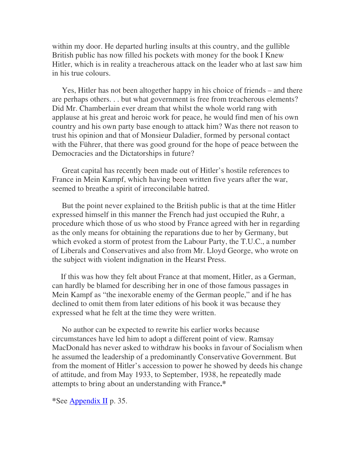within my door. He departed hurling insults at this country, and the gullible British public has now filled his pockets with money for the book I Knew Hitler, which is in reality a treacherous attack on the leader who at last saw him in his true colours.

 Yes, Hitler has not been altogether happy in his choice of friends – and there are perhaps others. . . but what government is free from treacherous elements? Did Mr. Chamberlain ever dream that whilst the whole world rang with applause at his great and heroic work for peace, he would find men of his own country and his own party base enough to attack him? Was there not reason to trust his opinion and that of Monsieur Daladier, formed by personal contact with the Führer, that there was good ground for the hope of peace between the Democracies and the Dictatorships in future?

 Great capital has recently been made out of Hitler's hostile references to France in Mein Kampf, which having been written five years after the war, seemed to breathe a spirit of irreconcilable hatred.

 But the point never explained to the British public is that at the time Hitler expressed himself in this manner the French had just occupied the Ruhr, a procedure which those of us who stood by France agreed with her in regarding as the only means for obtaining the reparations due to her by Germany, but which evoked a storm of protest from the Labour Party, the T.U.C., a number of Liberals and Conservatives and also from Mr. Lloyd George, who wrote on the subject with violent indignation in the Hearst Press.

 If this was how they felt about France at that moment, Hitler, as a German, can hardly be blamed for describing her in one of those famous passages in Mein Kampf as "the inexorable enemy of the German people," and if he has declined to omit them from later editions of his book it was because they expressed what he felt at the time they were written.

 No author can be expected to rewrite his earlier works because circumstances have led him to adopt a different point of view. Ramsay MacDonald has never asked to withdraw his books in favour of Socialism when he assumed the leadership of a predominantly Conservative Government. But from the moment of Hitler's accession to power he showed by deeds his change of attitude, and from May 1933, to September, 1938, he repeatedly made attempts to bring about an understanding with France**.\***

**\***See Appendix II p. 35.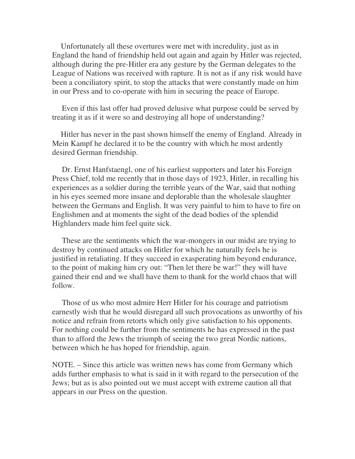Unfortunately all these overtures were met with incredulity, just as in England the hand of friendship held out again and again by Hitler was rejected, although during the pre-Hitler era any gesture by the German delegates to the League of Nations was received with rapture. It is not as if any risk would have been a conciliatory spirit, to stop the attacks that were constantly made on him in our Press and to co-operate with him in securing the peace of Europe.

 Even if this last offer had proved delusive what purpose could be served by treating it as if it were so and destroying all hope of understanding?

 Hitler has never in the past shown himself the enemy of England. Already in Mein Kampf he declared it to be the country with which he most ardently desired German friendship.

 Dr. Ernst Hanfstaengl, one of his earliest supporters and later his Foreign Press Chief, told me recently that in those days of 1923, Hitler, in recalling his experiences as a soldier during the terrible years of the War, said that nothing in his eyes seemed more insane and deplorable than the wholesale slaughter between the Germans and English. It was very painful to him to have to fire on Englishmen and at moments the sight of the dead bodies of the splendid Highlanders made him feel quite sick.

 These are the sentiments which the war-mongers in our midst are trying to destroy by continued attacks on Hitler for which he naturally feels he is justified in retaliating. If they succeed in exasperating him beyond endurance, to the point of making him cry out: "Then let there be war!" they will have gained their end and we shall have them to thank for the world chaos that will follow.

 Those of us who most admire Herr Hitler for his courage and patriotism earnestly wish that he would disregard all such provocations as unworthy of his notice and refrain from retorts which only give satisfaction to his opponents. For nothing could be further from the sentiments he has expressed in the past than to afford the Jews the triumph of seeing the two great Nordic nations, between which he has hoped for friendship, again.

NOTE. – Since this article was written news has come from Germany which adds further emphasis to what is said in it with regard to the persecution of the Jews; but as is also pointed out we must accept with extreme caution all that appears in our Press on the question.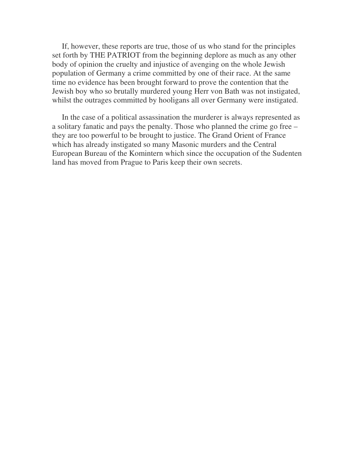If, however, these reports are true, those of us who stand for the principles set forth by THE PATRIOT from the beginning deplore as much as any other body of opinion the cruelty and injustice of avenging on the whole Jewish population of Germany a crime committed by one of their race. At the same time no evidence has been brought forward to prove the contention that the Jewish boy who so brutally murdered young Herr von Bath was not instigated, whilst the outrages committed by hooligans all over Germany were instigated.

 In the case of a political assassination the murderer is always represented as a solitary fanatic and pays the penalty. Those who planned the crime go free – they are too powerful to be brought to justice. The Grand Orient of France which has already instigated so many Masonic murders and the Central European Bureau of the Komintern which since the occupation of the Sudenten land has moved from Prague to Paris keep their own secrets.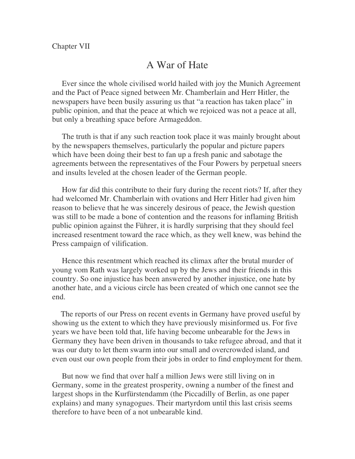# A War of Hate

 Ever since the whole civilised world hailed with joy the Munich Agreement and the Pact of Peace signed between Mr. Chamberlain and Herr Hitler, the newspapers have been busily assuring us that "a reaction has taken place" in public opinion, and that the peace at which we rejoiced was not a peace at all, but only a breathing space before Armageddon.

 The truth is that if any such reaction took place it was mainly brought about by the newspapers themselves, particularly the popular and picture papers which have been doing their best to fan up a fresh panic and sabotage the agreements between the representatives of the Four Powers by perpetual sneers and insults leveled at the chosen leader of the German people.

 How far did this contribute to their fury during the recent riots? If, after they had welcomed Mr. Chamberlain with ovations and Herr Hitler had given him reason to believe that he was sincerely desirous of peace, the Jewish question was still to be made a bone of contention and the reasons for inflaming British public opinion against the Führer, it is hardly surprising that they should feel increased resentment toward the race which, as they well knew, was behind the Press campaign of vilification.

 Hence this resentment which reached its climax after the brutal murder of young vom Rath was largely worked up by the Jews and their friends in this country. So one injustice has been answered by another injustice, one hate by another hate, and a vicious circle has been created of which one cannot see the end.

 The reports of our Press on recent events in Germany have proved useful by showing us the extent to which they have previously misinformed us. For five years we have been told that, life having become unbearable for the Jews in Germany they have been driven in thousands to take refugee abroad, and that it was our duty to let them swarm into our small and overcrowded island, and even oust our own people from their jobs in order to find employment for them.

 But now we find that over half a million Jews were still living on in Germany, some in the greatest prosperity, owning a number of the finest and largest shops in the Kurfürstendamm (the Piccadilly of Berlin, as one paper explains) and many synagogues. Their martyrdom until this last crisis seems therefore to have been of a not unbearable kind.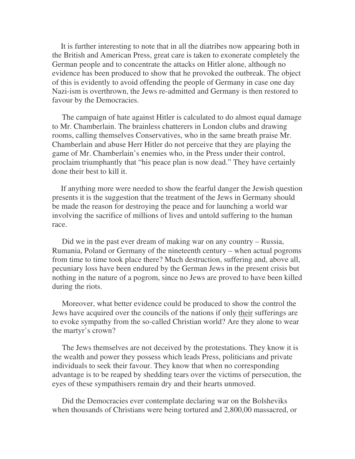It is further interesting to note that in all the diatribes now appearing both in the British and American Press, great care is taken to exonerate completely the German people and to concentrate the attacks on Hitler alone, although no evidence has been produced to show that he provoked the outbreak. The object of this is evidently to avoid offending the people of Germany in case one day Nazi-ism is overthrown, the Jews re-admitted and Germany is then restored to favour by the Democracies.

 The campaign of hate against Hitler is calculated to do almost equal damage to Mr. Chamberlain. The brainless chatterers in London clubs and drawing rooms, calling themselves Conservatives, who in the same breath praise Mr. Chamberlain and abuse Herr Hitler do not perceive that they are playing the game of Mr. Chamberlain's enemies who, in the Press under their control, proclaim triumphantly that "his peace plan is now dead." They have certainly done their best to kill it.

 If anything more were needed to show the fearful danger the Jewish question presents it is the suggestion that the treatment of the Jews in Germany should be made the reason for destroying the peace and for launching a world war involving the sacrifice of millions of lives and untold suffering to the human race.

 Did we in the past ever dream of making war on any country – Russia, Rumania, Poland or Germany of the nineteenth century – when actual pogroms from time to time took place there? Much destruction, suffering and, above all, pecuniary loss have been endured by the German Jews in the present crisis but nothing in the nature of a pogrom, since no Jews are proved to have been killed during the riots.

 Moreover, what better evidence could be produced to show the control the Jews have acquired over the councils of the nations if only their sufferings are to evoke sympathy from the so-called Christian world? Are they alone to wear the martyr's crown?

 The Jews themselves are not deceived by the protestations. They know it is the wealth and power they possess which leads Press, politicians and private individuals to seek their favour. They know that when no corresponding advantage is to be reaped by shedding tears over the victims of persecution, the eyes of these sympathisers remain dry and their hearts unmoved.

 Did the Democracies ever contemplate declaring war on the Bolsheviks when thousands of Christians were being tortured and 2,800,00 massacred, or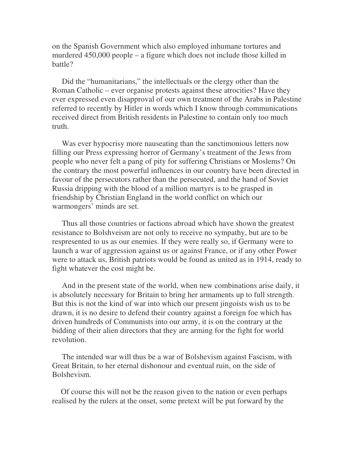on the Spanish Government which also employed inhumane tortures and murdered 450,000 people – a figure which does not include those killed in battle?

 Did the "humanitarians," the intellectuals or the clergy other than the Roman Catholic – ever organise protests against these atrocities? Have they ever expressed even disapproval of our own treatment of the Arabs in Palestine referred to recently by Hitler in words which I know through communications received direct from British residents in Palestine to contain only too much truth.

 Was ever hypocrisy more nauseating than the sanctimonious letters now filling our Press expressing horror of Germany's treatment of the Jews from people who never felt a pang of pity for suffering Christians or Moslems? On the contrary the most powerful influences in our country have been directed in favour of the persecutors rather than the persecuted, and the hand of Soviet Russia dripping with the blood of a million martyrs is to be grasped in friendship by Christian England in the world conflict on which our warmongers' minds are set.

 Thus all those countries or factions abroad which have shown the greatest resistance to Bolshveism are not only to receive no sympathy, but are to be respresented to us as our enemies. If they were really so, if Germany were to launch a war of aggression against us or against France, or if any other Power were to attack us, British patriots would be found as united as in 1914, ready to fight whatever the cost might be.

 And in the present state of the world, when new combinations arise daily, it is absolutely necessary for Britain to bring her armaments up to full strength. But this is not the kind of war into which our present jingoists wish us to be drawn, it is no desire to defend their country against a foreign foe which has driven hundreds of Communists into our army, it is on the contrary at the bidding of their alien directors that they are arming for the fight for world revolution.

 The intended war will thus be a war of Bolshevism against Fascism, with Great Britain, to her eternal dishonour and eventual ruin, on the side of Bolshevism.

 Of course this will not be the reason given to the nation or even perhaps realised by the rulers at the onset, some pretext will be put forward by the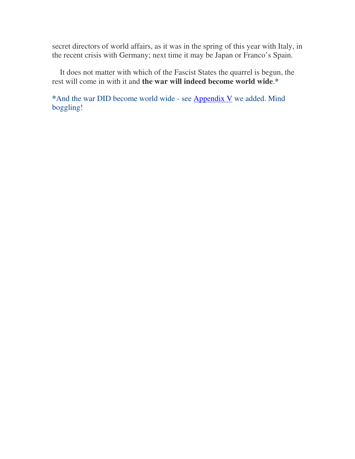secret directors of world affairs, as it was in the spring of this year with Italy, in the recent crisis with Germany; next time it may be Japan or Franco's Spain.

 It does not matter with which of the Fascist States the quarrel is begun, the rest will come in with it and **the war will indeed become world wide**.**\***

**\***And the war DID become world wide - see Appendix V we added. Mind boggling!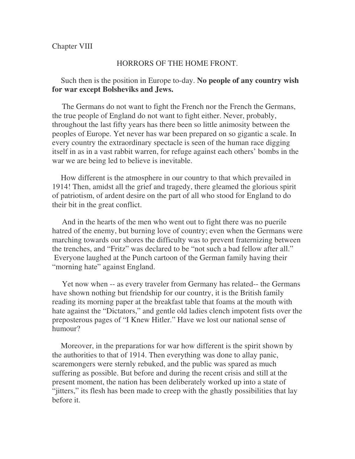### Chapter VIII

#### HORRORS OF THE HOME FRONT.

## Such then is the position in Europe to-day. **No people of any country wish for war except Bolsheviks and Jews.**

 The Germans do not want to fight the French nor the French the Germans, the true people of England do not want to fight either. Never, probably, throughout the last fifty years has there been so little animosity between the peoples of Europe. Yet never has war been prepared on so gigantic a scale. In every country the extraordinary spectacle is seen of the human race digging itself in as in a vast rabbit warren, for refuge against each others' bombs in the war we are being led to believe is inevitable.

 How different is the atmosphere in our country to that which prevailed in 1914! Then, amidst all the grief and tragedy, there gleamed the glorious spirit of patriotism, of ardent desire on the part of all who stood for England to do their bit in the great conflict.

 And in the hearts of the men who went out to fight there was no puerile hatred of the enemy, but burning love of country; even when the Germans were marching towards our shores the difficulty was to prevent fraternizing between the trenches, and "Fritz" was declared to be "not such a bad fellow after all." Everyone laughed at the Punch cartoon of the German family having their "morning hate" against England.

 Yet now when -- as every traveler from Germany has related-- the Germans have shown nothing but friendship for our country, it is the British family reading its morning paper at the breakfast table that foams at the mouth with hate against the "Dictators," and gentle old ladies clench impotent fists over the preposterous pages of "I Knew Hitler." Have we lost our national sense of humour?

 Moreover, in the preparations for war how different is the spirit shown by the authorities to that of 1914. Then everything was done to allay panic, scaremongers were sternly rebuked, and the public was spared as much suffering as possible. But before and during the recent crisis and still at the present moment, the nation has been deliberately worked up into a state of "jitters," its flesh has been made to creep with the ghastly possibilities that lay before it.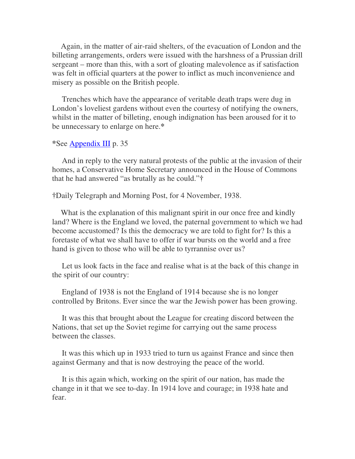Again, in the matter of air-raid shelters, of the evacuation of London and the billeting arrangements, orders were issued with the harshness of a Prussian drill sergeant – more than this, with a sort of gloating malevolence as if satisfaction was felt in official quarters at the power to inflict as much inconvenience and misery as possible on the British people.

 Trenches which have the appearance of veritable death traps were dug in London's loveliest gardens without even the courtesy of notifying the owners, whilst in the matter of billeting, enough indignation has been aroused for it to be unnecessary to enlarge on here.**\***

```
*See Appendix III p. 35
```
 And in reply to the very natural protests of the public at the invasion of their homes, a Conservative Home Secretary announced in the House of Commons that he had answered "as brutally as he could."**†**

**†**Daily Telegraph and Morning Post, for 4 November, 1938.

What is the explanation of this malignant spirit in our once free and kindly land? Where is the England we loved, the paternal government to which we had become accustomed? Is this the democracy we are told to fight for? Is this a foretaste of what we shall have to offer if war bursts on the world and a free hand is given to those who will be able to tyrrannise over us?

 Let us look facts in the face and realise what is at the back of this change in the spirit of our country:

 England of 1938 is not the England of 1914 because she is no longer controlled by Britons. Ever since the war the Jewish power has been growing.

 It was this that brought about the League for creating discord between the Nations, that set up the Soviet regime for carrying out the same process between the classes.

 It was this which up in 1933 tried to turn us against France and since then against Germany and that is now destroying the peace of the world.

 It is this again which, working on the spirit of our nation, has made the change in it that we see to-day. In 1914 love and courage; in 1938 hate and fear.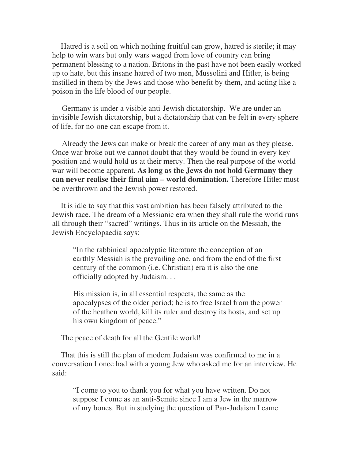Hatred is a soil on which nothing fruitful can grow, hatred is sterile; it may help to win wars but only wars waged from love of country can bring permanent blessing to a nation. Britons in the past have not been easily worked up to hate, but this insane hatred of two men, Mussolini and Hitler, is being instilled in them by the Jews and those who benefit by them, and acting like a poison in the life blood of our people.

 Germany is under a visible anti-Jewish dictatorship. We are under an invisible Jewish dictatorship, but a dictatorship that can be felt in every sphere of life, for no-one can escape from it.

 Already the Jews can make or break the career of any man as they please. Once war broke out we cannot doubt that they would be found in every key position and would hold us at their mercy. Then the real purpose of the world war will become apparent. **As long as the Jews do not hold Germany they can never realise their final aim – world domination.** Therefore Hitler must be overthrown and the Jewish power restored.

 It is idle to say that this vast ambition has been falsely attributed to the Jewish race. The dream of a Messianic era when they shall rule the world runs all through their "sacred" writings. Thus in its article on the Messiah, the Jewish Encyclopaedia says:

"In the rabbinical apocalyptic literature the conception of an earthly Messiah is the prevailing one, and from the end of the first century of the common (i.e. Christian) era it is also the one officially adopted by Judaism. . .

His mission is, in all essential respects, the same as the apocalypses of the older period; he is to free Israel from the power of the heathen world, kill its ruler and destroy its hosts, and set up his own kingdom of peace."

The peace of death for all the Gentile world!

 That this is still the plan of modern Judaism was confirmed to me in a conversation I once had with a young Jew who asked me for an interview. He said:

"I come to you to thank you for what you have written. Do not suppose I come as an anti-Semite since I am a Jew in the marrow of my bones. But in studying the question of Pan-Judaism I came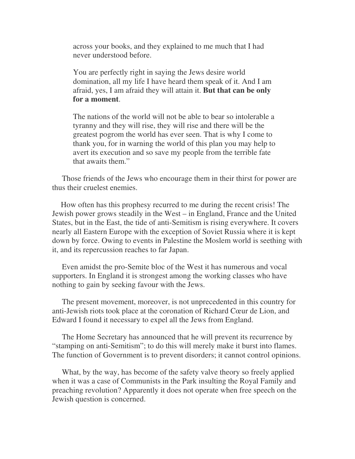across your books, and they explained to me much that I had never understood before.

You are perfectly right in saying the Jews desire world domination, all my life I have heard them speak of it. And I am afraid, yes, I am afraid they will attain it. **But that can be only for a moment**.

The nations of the world will not be able to bear so intolerable a tyranny and they will rise, they will rise and there will be the greatest pogrom the world has ever seen. That is why I come to thank you, for in warning the world of this plan you may help to avert its execution and so save my people from the terrible fate that awaits them."

 Those friends of the Jews who encourage them in their thirst for power are thus their cruelest enemies.

 How often has this prophesy recurred to me during the recent crisis! The Jewish power grows steadily in the West – in England, France and the United States, but in the East, the tide of anti-Semitism is rising everywhere. It covers nearly all Eastern Europe with the exception of Soviet Russia where it is kept down by force. Owing to events in Palestine the Moslem world is seething with it, and its repercussion reaches to far Japan.

 Even amidst the pro-Semite bloc of the West it has numerous and vocal supporters. In England it is strongest among the working classes who have nothing to gain by seeking favour with the Jews.

 The present movement, moreover, is not unprecedented in this country for anti-Jewish riots took place at the coronation of Richard Cœur de Lion, and Edward I found it necessary to expel all the Jews from England.

 The Home Secretary has announced that he will prevent its recurrence by "stamping on anti-Semitism"; to do this will merely make it burst into flames. The function of Government is to prevent disorders; it cannot control opinions.

 What, by the way, has become of the safety valve theory so freely applied when it was a case of Communists in the Park insulting the Royal Family and preaching revolution? Apparently it does not operate when free speech on the Jewish question is concerned.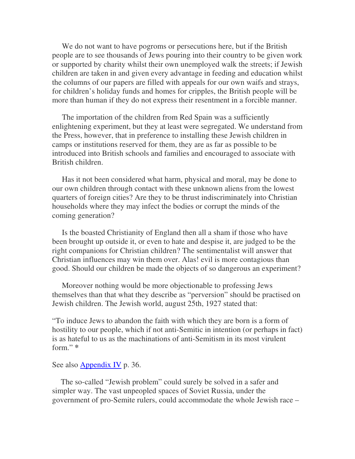We do not want to have pogroms or persecutions here, but if the British people are to see thousands of Jews pouring into their country to be given work or supported by charity whilst their own unemployed walk the streets; if Jewish children are taken in and given every advantage in feeding and education whilst the columns of our papers are filled with appeals for our own waifs and strays, for children's holiday funds and homes for cripples, the British people will be more than human if they do not express their resentment in a forcible manner.

 The importation of the children from Red Spain was a sufficiently enlightening experiment, but they at least were segregated. We understand from the Press, however, that in preference to installing these Jewish children in camps or institutions reserved for them, they are as far as possible to be introduced into British schools and families and encouraged to associate with British children.

 Has it not been considered what harm, physical and moral, may be done to our own children through contact with these unknown aliens from the lowest quarters of foreign cities? Are they to be thrust indiscriminately into Christian households where they may infect the bodies or corrupt the minds of the coming generation?

 Is the boasted Christianity of England then all a sham if those who have been brought up outside it, or even to hate and despise it, are judged to be the right companions for Christian children? The sentimentalist will answer that Christian influences may win them over. Alas! evil is more contagious than good. Should our children be made the objects of so dangerous an experiment?

 Moreover nothing would be more objectionable to professing Jews themselves than that what they describe as "perversion" should be practised on Jewish children. The Jewish world, august 25th, 1927 stated that:

"To induce Jews to abandon the faith with which they are born is a form of hostility to our people, which if not anti-Semitic in intention (or perhaps in fact) is as hateful to us as the machinations of anti-Semitism in its most virulent form." **\***

See also Appendix IV p. 36.

 The so-called "Jewish problem" could surely be solved in a safer and simpler way. The vast unpeopled spaces of Soviet Russia, under the government of pro-Semite rulers, could accommodate the whole Jewish race –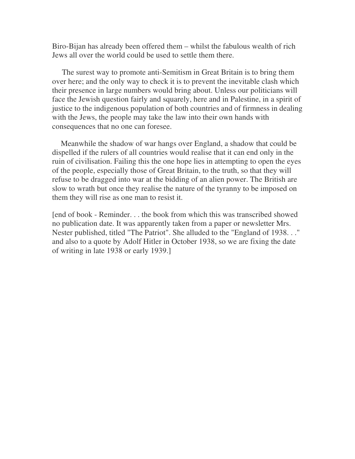Biro-Bijan has already been offered them – whilst the fabulous wealth of rich Jews all over the world could be used to settle them there.

 The surest way to promote anti-Semitism in Great Britain is to bring them over here; and the only way to check it is to prevent the inevitable clash which their presence in large numbers would bring about. Unless our politicians will face the Jewish question fairly and squarely, here and in Palestine, in a spirit of justice to the indigenous population of both countries and of firmness in dealing with the Jews, the people may take the law into their own hands with consequences that no one can foresee.

 Meanwhile the shadow of war hangs over England, a shadow that could be dispelled if the rulers of all countries would realise that it can end only in the ruin of civilisation. Failing this the one hope lies in attempting to open the eyes of the people, especially those of Great Britain, to the truth, so that they will refuse to be dragged into war at the bidding of an alien power. The British are slow to wrath but once they realise the nature of the tyranny to be imposed on them they will rise as one man to resist it.

[end of book - Reminder. . . the book from which this was transcribed showed no publication date. It was apparently taken from a paper or newsletter Mrs. Nester published, titled "The Patriot". She alluded to the "England of 1938. . ." and also to a quote by Adolf Hitler in October 1938, so we are fixing the date of writing in late 1938 or early 1939.]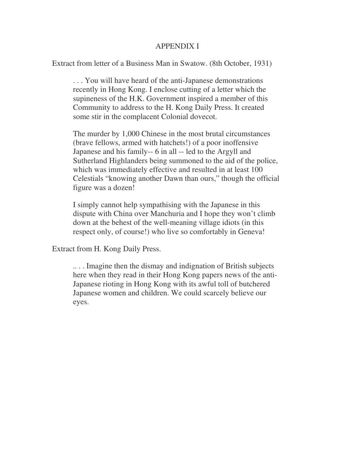### APPENDIX I

Extract from letter of a Business Man in Swatow. (8th October, 1931)

. . . You will have heard of the anti-Japanese demonstrations recently in Hong Kong. I enclose cutting of a letter which the supineness of the H.K. Government inspired a member of this Community to address to the H. Kong Daily Press. It created some stir in the complacent Colonial dovecot.

The murder by 1,000 Chinese in the most brutal circumstances (brave fellows, armed with hatchets!) of a poor inoffensive Japanese and his family-- 6 in all -- led to the Argyll and Sutherland Highlanders being summoned to the aid of the police, which was immediately effective and resulted in at least 100 Celestials "knowing another Dawn than ours," though the official figure was a dozen!

I simply cannot help sympathising with the Japanese in this dispute with China over Manchuria and I hope they won't climb down at the behest of the well-meaning village idiots (in this respect only, of course!) who live so comfortably in Geneva!

Extract from H. Kong Daily Press.

.. . . Imagine then the dismay and indignation of British subjects here when they read in their Hong Kong papers news of the anti-Japanese rioting in Hong Kong with its awful toll of butchered Japanese women and children. We could scarcely believe our eyes.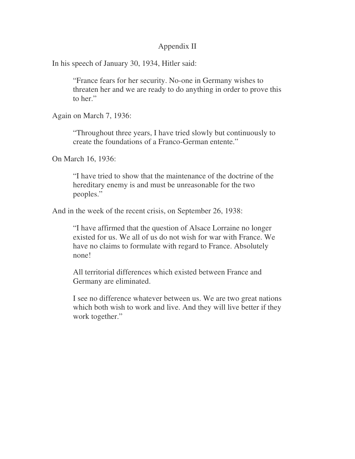### Appendix II

In his speech of January 30, 1934, Hitler said:

"France fears for her security. No-one in Germany wishes to threaten her and we are ready to do anything in order to prove this to her."

Again on March 7, 1936:

"Throughout three years, I have tried slowly but continuously to create the foundations of a Franco-German entente."

On March 16, 1936:

"I have tried to show that the maintenance of the doctrine of the hereditary enemy is and must be unreasonable for the two peoples."

And in the week of the recent crisis, on September 26, 1938:

"I have affirmed that the question of Alsace Lorraine no longer existed for us. We all of us do not wish for war with France. We have no claims to formulate with regard to France. Absolutely none!

All territorial differences which existed between France and Germany are eliminated.

I see no difference whatever between us. We are two great nations which both wish to work and live. And they will live better if they work together."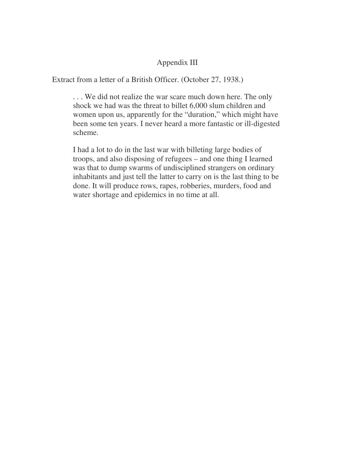# Appendix III

Extract from a letter of a British Officer. (October 27, 1938.)

. . . We did not realize the war scare much down here. The only shock we had was the threat to billet 6,000 slum children and women upon us, apparently for the "duration," which might have been some ten years. I never heard a more fantastic or ill-digested scheme.

I had a lot to do in the last war with billeting large bodies of troops, and also disposing of refugees – and one thing I learned was that to dump swarms of undisciplined strangers on ordinary inhabitants and just tell the latter to carry on is the last thing to be done. It will produce rows, rapes, robberies, murders, food and water shortage and epidemics in no time at all.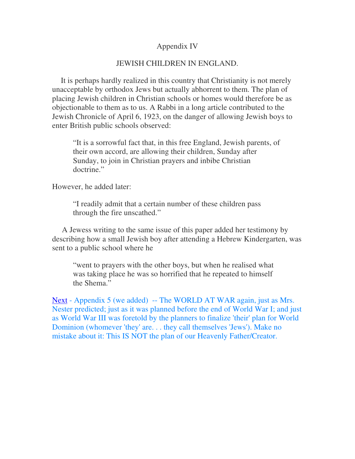### Appendix IV

### JEWISH CHILDREN IN ENGLAND.

 It is perhaps hardly realized in this country that Christianity is not merely unacceptable by orthodox Jews but actually abhorrent to them. The plan of placing Jewish children in Christian schools or homes would therefore be as objectionable to them as to us. A Rabbi in a long article contributed to the Jewish Chronicle of April 6, 1923, on the danger of allowing Jewish boys to enter British public schools observed:

"It is a sorrowful fact that, in this free England, Jewish parents, of their own accord, are allowing their children, Sunday after Sunday, to join in Christian prayers and inbibe Christian doctrine."

However, he added later:

"I readily admit that a certain number of these children pass through the fire unscathed."

 A Jewess writing to the same issue of this paper added her testimony by describing how a small Jewish boy after attending a Hebrew Kindergarten, was sent to a public school where he

"went to prayers with the other boys, but when he realised what was taking place he was so horrified that he repeated to himself the Shema."

Next - Appendix 5 (we added) -- The WORLD AT WAR again, just as Mrs. Nester predicted; just as it was planned before the end of World War I; and just as World War III was foretold by the planners to finalize 'their' plan for World Dominion (whomever 'they' are. . . they call themselves 'Jews'). Make no mistake about it: This IS NOT the plan of our Heavenly Father/Creator.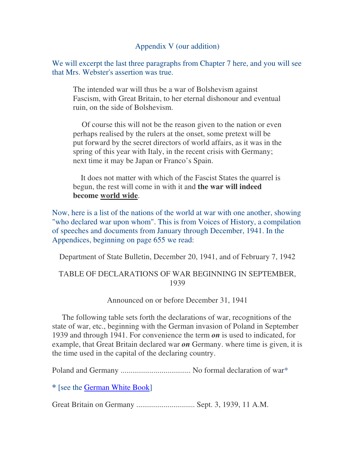# Appendix V (our addition)

We will excerpt the last three paragraphs from Chapter 7 here, and you will see that Mrs. Webster's assertion was true.

The intended war will thus be a war of Bolshevism against Fascism, with Great Britain, to her eternal dishonour and eventual ruin, on the side of Bolshevism.

 Of course this will not be the reason given to the nation or even perhaps realised by the rulers at the onset, some pretext will be put forward by the secret directors of world affairs, as it was in the spring of this year with Italy, in the recent crisis with Germany; next time it may be Japan or Franco's Spain.

 It does not matter with which of the Fascist States the quarrel is begun, the rest will come in with it and **the war will indeed become world wide**.

Now, here is a list of the nations of the world at war with one another, showing "who declared war upon whom". This is from Voices of History, a compilation of speeches and documents from January through December, 1941. In the Appendices, beginning on page 655 we read:

Department of State Bulletin, December 20, 1941, and of February 7, 1942

# TABLE OF DECLARATIONS OF WAR BEGINNING IN SEPTEMBER, 1939

### Announced on or before December 31, 1941

 The following table sets forth the declarations of war, recognitions of the state of war, etc., beginning with the German invasion of Poland in September 1939 and through 1941. For convenience the term *on* is used to indicated, for example, that Great Britain declared war *on* Germany. where time is given, it is the time used in the capital of the declaring country.

Poland and Germany .................................... No formal declaration of war\*

**\*** [see the German White Book]

Great Britain on Germany .............................. Sept. 3, 1939, 11 A.M.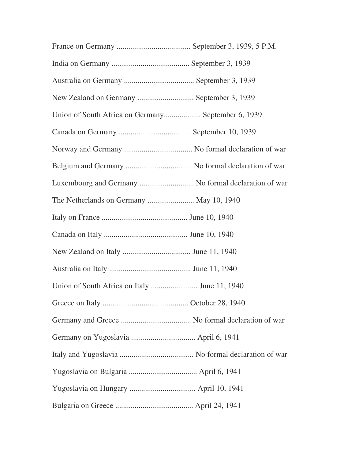| New Zealand on Germany  September 3, 1939            |
|------------------------------------------------------|
| Union of South Africa on Germany September 6, 1939   |
|                                                      |
|                                                      |
|                                                      |
| Luxembourg and Germany  No formal declaration of war |
| The Netherlands on Germany  May 10, 1940             |
|                                                      |
|                                                      |
|                                                      |
|                                                      |
|                                                      |
|                                                      |
|                                                      |
|                                                      |
|                                                      |
|                                                      |
|                                                      |
|                                                      |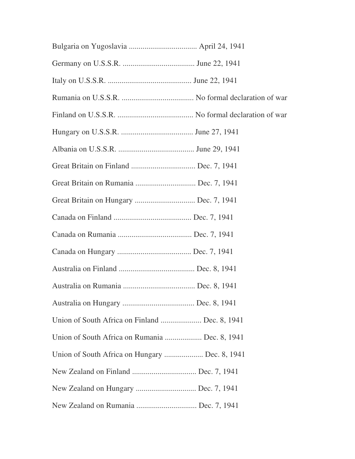| Great Britain on Finland  Dec. 7, 1941         |
|------------------------------------------------|
| Great Britain on Rumania  Dec. 7, 1941         |
| Great Britain on Hungary  Dec. 7, 1941         |
|                                                |
|                                                |
|                                                |
|                                                |
|                                                |
|                                                |
| Union of South Africa on Finland  Dec. 8, 1941 |
| Union of South Africa on Rumania  Dec. 8, 1941 |
| Union of South Africa on Hungary  Dec. 8, 1941 |
|                                                |
| New Zealand on Hungary  Dec. 7, 1941           |
| New Zealand on Rumania  Dec. 7, 1941           |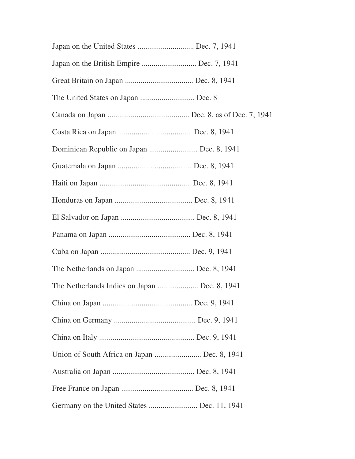| Japan on the United States  Dec. 7, 1941      |
|-----------------------------------------------|
| Japan on the British Empire  Dec. 7, 1941     |
|                                               |
|                                               |
|                                               |
|                                               |
| Dominican Republic on Japan  Dec. 8, 1941     |
|                                               |
|                                               |
|                                               |
|                                               |
|                                               |
|                                               |
| The Netherlands on Japan  Dec. 8, 1941        |
| The Netherlands Indies on Japan  Dec. 8, 1941 |
|                                               |
|                                               |
|                                               |
| Union of South Africa on Japan  Dec. 8, 1941  |
|                                               |
|                                               |
| Germany on the United States  Dec. 11, 1941   |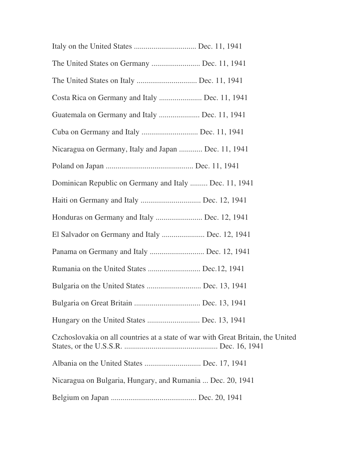| The United States on Germany  Dec. 11, 1941                                     |
|---------------------------------------------------------------------------------|
|                                                                                 |
| Costa Rica on Germany and Italy  Dec. 11, 1941                                  |
| Guatemala on Germany and Italy  Dec. 11, 1941                                   |
| Cuba on Germany and Italy  Dec. 11, 1941                                        |
| Nicaragua on Germany, Italy and Japan  Dec. 11, 1941                            |
|                                                                                 |
| Dominican Republic on Germany and Italy  Dec. 11, 1941                          |
| Haiti on Germany and Italy  Dec. 12, 1941                                       |
| Honduras on Germany and Italy  Dec. 12, 1941                                    |
| El Salvador on Germany and Italy  Dec. 12, 1941                                 |
| Panama on Germany and Italy  Dec. 12, 1941                                      |
| Rumania on the United States  Dec.12, 1941                                      |
| Bulgaria on the United States  Dec. 13, 1941                                    |
|                                                                                 |
|                                                                                 |
| Czchoslovakia on all countries at a state of war with Great Britain, the United |
|                                                                                 |
| Nicaragua on Bulgaria, Hungary, and Rumania  Dec. 20, 1941                      |
|                                                                                 |